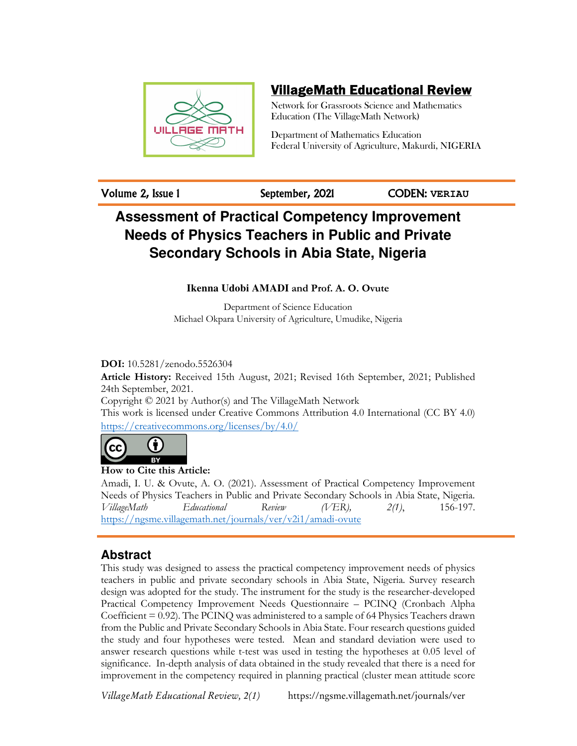

# VillageMath Educational Review

Network for Grassroots Science and Mathematics Education (The VillageMath Network)

Department of Mathematics Education Federal University of Agriculture, Makurdi, NIGERIA

Volume 2, Issue 1 September, 2021 CODEN: **VERIAU**

# **Assessment of Practical Competency Improvement Needs of Physics Teachers in Public and Private Secondary Schools in Abia State, Nigeria**

# **Ikenna Udobi AMADI and Prof. A. O. Ovute**

Department of Science Education Michael Okpara University of Agriculture, Umudike, Nigeria

**DOI:** 10.5281/zenodo.5526304

**Article History:** Received 15th August, 2021; Revised 16th September, 2021; Published 24th September, 2021. Copyright © 2021 by Author(s) and The VillageMath Network This work is licensed under Creative Commons Attribution 4.0 International (CC BY 4.0)

https://creativecommons.org/licenses/by/4.0/



**How to Cite this Article:** 

Amadi, I. U. & Ovute, A. O. (2021). Assessment of Practical Competency Improvement Needs of Physics Teachers in Public and Private Secondary Schools in Abia State, Nigeria. *VillageMath Educational Review (VER), 2(1)*, 156-197. https://ngsme.villagemath.net/journals/ver/v2i1/amadi-ovute

# **Abstract**

This study was designed to assess the practical competency improvement needs of physics teachers in public and private secondary schools in Abia State, Nigeria. Survey research design was adopted for the study. The instrument for the study is the researcher-developed Practical Competency Improvement Needs Questionnaire – PCINQ (Cronbach Alpha Coefficient  $= 0.92$ ). The PCINQ was administered to a sample of 64 Physics Teachers drawn from the Public and Private Secondary Schools in Abia State. Four research questions guided the study and four hypotheses were tested. Mean and standard deviation were used to answer research questions while t-test was used in testing the hypotheses at 0.05 level of significance. In-depth analysis of data obtained in the study revealed that there is a need for improvement in the competency required in planning practical (cluster mean attitude score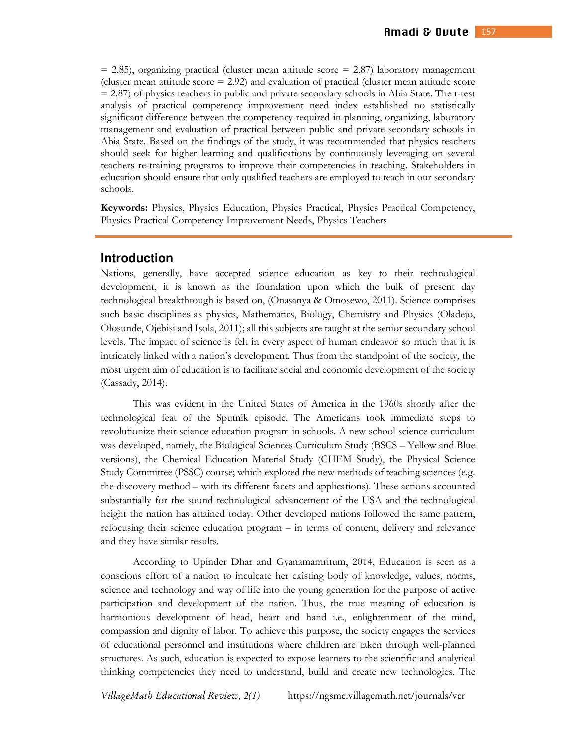$= 2.85$ ), organizing practical (cluster mean attitude score  $= 2.87$ ) laboratory management (cluster mean attitude score  $= 2.92$ ) and evaluation of practical (cluster mean attitude score = 2.87) of physics teachers in public and private secondary schools in Abia State. The t-test analysis of practical competency improvement need index established no statistically significant difference between the competency required in planning, organizing, laboratory management and evaluation of practical between public and private secondary schools in Abia State. Based on the findings of the study, it was recommended that physics teachers should seek for higher learning and qualifications by continuously leveraging on several teachers re-training programs to improve their competencies in teaching. Stakeholders in education should ensure that only qualified teachers are employed to teach in our secondary schools.

**Keywords:** Physics, Physics Education, Physics Practical, Physics Practical Competency, Physics Practical Competency Improvement Needs, Physics Teachers

### **Introduction**

Nations, generally, have accepted science education as key to their technological development, it is known as the foundation upon which the bulk of present day technological breakthrough is based on, (Onasanya & Omosewo, 2011). Science comprises such basic disciplines as physics, Mathematics, Biology, Chemistry and Physics (Oladejo, Olosunde, Ojebisi and Isola, 2011); all this subjects are taught at the senior secondary school levels. The impact of science is felt in every aspect of human endeavor so much that it is intricately linked with a nation's development. Thus from the standpoint of the society, the most urgent aim of education is to facilitate social and economic development of the society (Cassady, 2014).

This was evident in the United States of America in the 1960s shortly after the technological feat of the Sputnik episode. The Americans took immediate steps to revolutionize their science education program in schools. A new school science curriculum was developed, namely, the Biological Sciences Curriculum Study (BSCS – Yellow and Blue versions), the Chemical Education Material Study (CHEM Study), the Physical Science Study Committee (PSSC) course; which explored the new methods of teaching sciences (e.g. the discovery method – with its different facets and applications). These actions accounted substantially for the sound technological advancement of the USA and the technological height the nation has attained today. Other developed nations followed the same pattern, refocusing their science education program – in terms of content, delivery and relevance and they have similar results.

According to Upinder Dhar and Gyanamamritum, 2014, Education is seen as a conscious effort of a nation to inculcate her existing body of knowledge, values, norms, science and technology and way of life into the young generation for the purpose of active participation and development of the nation. Thus, the true meaning of education is harmonious development of head, heart and hand i.e., enlightenment of the mind, compassion and dignity of labor. To achieve this purpose, the society engages the services of educational personnel and institutions where children are taken through well-planned structures. As such, education is expected to expose learners to the scientific and analytical thinking competencies they need to understand, build and create new technologies. The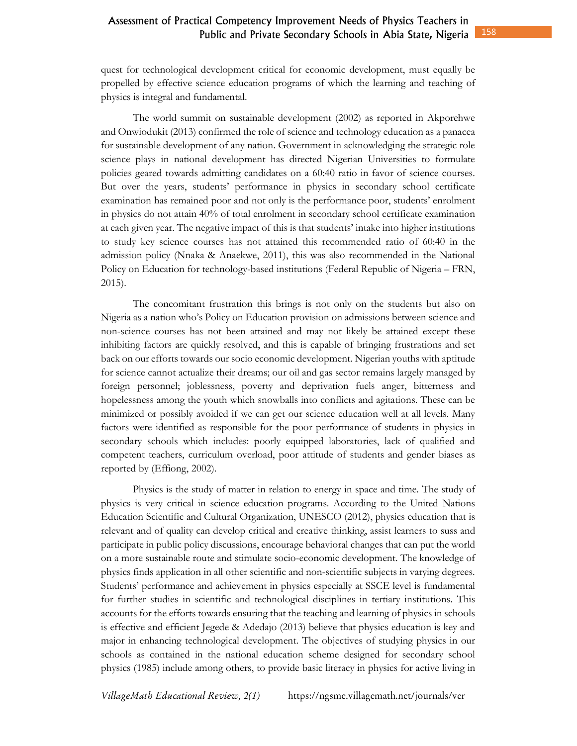158

quest for technological development critical for economic development, must equally be propelled by effective science education programs of which the learning and teaching of physics is integral and fundamental.

The world summit on sustainable development (2002) as reported in Akporehwe and Onwiodukit (2013) confirmed the role of science and technology education as a panacea for sustainable development of any nation. Government in acknowledging the strategic role science plays in national development has directed Nigerian Universities to formulate policies geared towards admitting candidates on a 60:40 ratio in favor of science courses. But over the years, students' performance in physics in secondary school certificate examination has remained poor and not only is the performance poor, students' enrolment in physics do not attain 40% of total enrolment in secondary school certificate examination at each given year. The negative impact of this is that students' intake into higher institutions to study key science courses has not attained this recommended ratio of 60:40 in the admission policy (Nnaka & Anaekwe, 2011), this was also recommended in the National Policy on Education for technology-based institutions (Federal Republic of Nigeria – FRN, 2015).

The concomitant frustration this brings is not only on the students but also on Nigeria as a nation who's Policy on Education provision on admissions between science and non-science courses has not been attained and may not likely be attained except these inhibiting factors are quickly resolved, and this is capable of bringing frustrations and set back on our efforts towards our socio economic development. Nigerian youths with aptitude for science cannot actualize their dreams; our oil and gas sector remains largely managed by foreign personnel; joblessness, poverty and deprivation fuels anger, bitterness and hopelessness among the youth which snowballs into conflicts and agitations. These can be minimized or possibly avoided if we can get our science education well at all levels. Many factors were identified as responsible for the poor performance of students in physics in secondary schools which includes: poorly equipped laboratories, lack of qualified and competent teachers, curriculum overload, poor attitude of students and gender biases as reported by (Effiong, 2002).

Physics is the study of matter in relation to energy in space and time. The study of physics is very critical in science education programs. According to the United Nations Education Scientific and Cultural Organization, UNESCO (2012), physics education that is relevant and of quality can develop critical and creative thinking, assist learners to suss and participate in public policy discussions, encourage behavioral changes that can put the world on a more sustainable route and stimulate socio-economic development. The knowledge of physics finds application in all other scientific and non-scientific subjects in varying degrees. Students' performance and achievement in physics especially at SSCE level is fundamental for further studies in scientific and technological disciplines in tertiary institutions. This accounts for the efforts towards ensuring that the teaching and learning of physics in schools is effective and efficient Jegede & Adedajo (2013) believe that physics education is key and major in enhancing technological development. The objectives of studying physics in our schools as contained in the national education scheme designed for secondary school physics (1985) include among others, to provide basic literacy in physics for active living in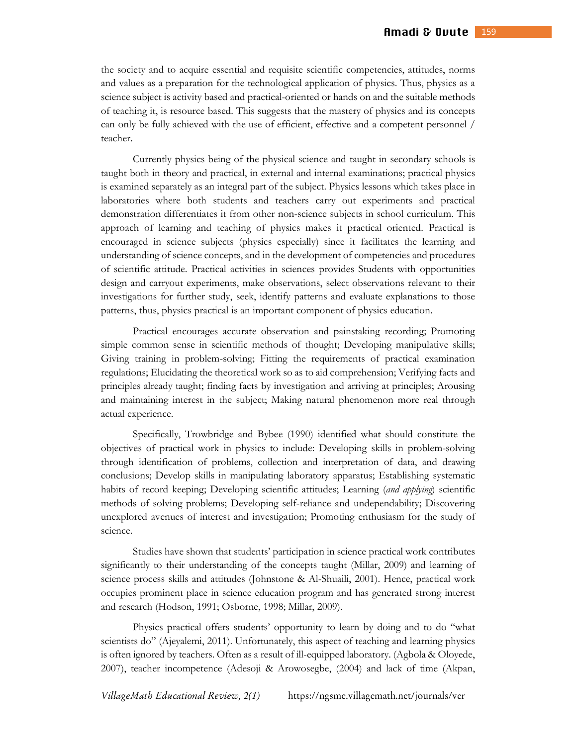the society and to acquire essential and requisite scientific competencies, attitudes, norms and values as a preparation for the technological application of physics. Thus, physics as a science subject is activity based and practical-oriented or hands on and the suitable methods of teaching it, is resource based. This suggests that the mastery of physics and its concepts can only be fully achieved with the use of efficient, effective and a competent personnel / teacher.

Currently physics being of the physical science and taught in secondary schools is taught both in theory and practical, in external and internal examinations; practical physics is examined separately as an integral part of the subject. Physics lessons which takes place in laboratories where both students and teachers carry out experiments and practical demonstration differentiates it from other non-science subjects in school curriculum. This approach of learning and teaching of physics makes it practical oriented. Practical is encouraged in science subjects (physics especially) since it facilitates the learning and understanding of science concepts, and in the development of competencies and procedures of scientific attitude. Practical activities in sciences provides Students with opportunities design and carryout experiments, make observations, select observations relevant to their investigations for further study, seek, identify patterns and evaluate explanations to those patterns, thus, physics practical is an important component of physics education.

Practical encourages accurate observation and painstaking recording; Promoting simple common sense in scientific methods of thought; Developing manipulative skills; Giving training in problem-solving; Fitting the requirements of practical examination regulations; Elucidating the theoretical work so as to aid comprehension; Verifying facts and principles already taught; finding facts by investigation and arriving at principles; Arousing and maintaining interest in the subject; Making natural phenomenon more real through actual experience.

Specifically, Trowbridge and Bybee (1990) identified what should constitute the objectives of practical work in physics to include: Developing skills in problem-solving through identification of problems, collection and interpretation of data, and drawing conclusions; Develop skills in manipulating laboratory apparatus; Establishing systematic habits of record keeping; Developing scientific attitudes; Learning (*and applying*) scientific methods of solving problems; Developing self-reliance and undependability; Discovering unexplored avenues of interest and investigation; Promoting enthusiasm for the study of science.

Studies have shown that students' participation in science practical work contributes significantly to their understanding of the concepts taught (Millar, 2009) and learning of science process skills and attitudes (Johnstone & Al-Shuaili, 2001). Hence, practical work occupies prominent place in science education program and has generated strong interest and research (Hodson, 1991; Osborne, 1998; Millar, 2009).

Physics practical offers students' opportunity to learn by doing and to do "what scientists do" (Ajeyalemi, 2011). Unfortunately, this aspect of teaching and learning physics is often ignored by teachers. Often as a result of ill-equipped laboratory. (Agbola & Oloyede, 2007), teacher incompetence (Adesoji & Arowosegbe, (2004) and lack of time (Akpan,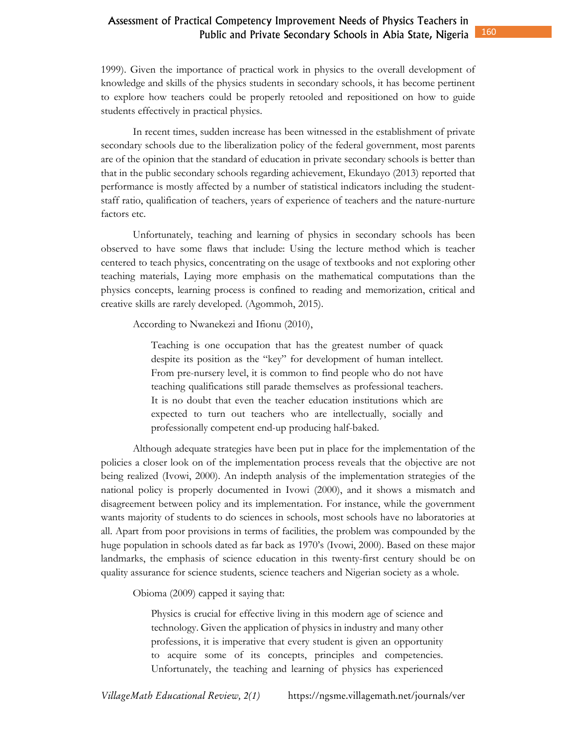1999). Given the importance of practical work in physics to the overall development of knowledge and skills of the physics students in secondary schools, it has become pertinent to explore how teachers could be properly retooled and repositioned on how to guide students effectively in practical physics.

In recent times, sudden increase has been witnessed in the establishment of private secondary schools due to the liberalization policy of the federal government, most parents are of the opinion that the standard of education in private secondary schools is better than that in the public secondary schools regarding achievement, Ekundayo (2013) reported that performance is mostly affected by a number of statistical indicators including the studentstaff ratio, qualification of teachers, years of experience of teachers and the nature-nurture factors etc.

Unfortunately, teaching and learning of physics in secondary schools has been observed to have some flaws that include: Using the lecture method which is teacher centered to teach physics, concentrating on the usage of textbooks and not exploring other teaching materials, Laying more emphasis on the mathematical computations than the physics concepts, learning process is confined to reading and memorization, critical and creative skills are rarely developed. (Agommoh, 2015).

According to Nwanekezi and Ifionu (2010),

Teaching is one occupation that has the greatest number of quack despite its position as the "key" for development of human intellect. From pre-nursery level, it is common to find people who do not have teaching qualifications still parade themselves as professional teachers. It is no doubt that even the teacher education institutions which are expected to turn out teachers who are intellectually, socially and professionally competent end-up producing half-baked.

 Although adequate strategies have been put in place for the implementation of the policies a closer look on of the implementation process reveals that the objective are not being realized (Ivowi, 2000). An indepth analysis of the implementation strategies of the national policy is properly documented in Ivowi (2000), and it shows a mismatch and disagreement between policy and its implementation. For instance, while the government wants majority of students to do sciences in schools, most schools have no laboratories at all. Apart from poor provisions in terms of facilities, the problem was compounded by the huge population in schools dated as far back as 1970's (Ivowi, 2000). Based on these major landmarks, the emphasis of science education in this twenty-first century should be on quality assurance for science students, science teachers and Nigerian society as a whole.

Obioma (2009) capped it saying that:

Physics is crucial for effective living in this modern age of science and technology. Given the application of physics in industry and many other professions, it is imperative that every student is given an opportunity to acquire some of its concepts, principles and competencies. Unfortunately, the teaching and learning of physics has experienced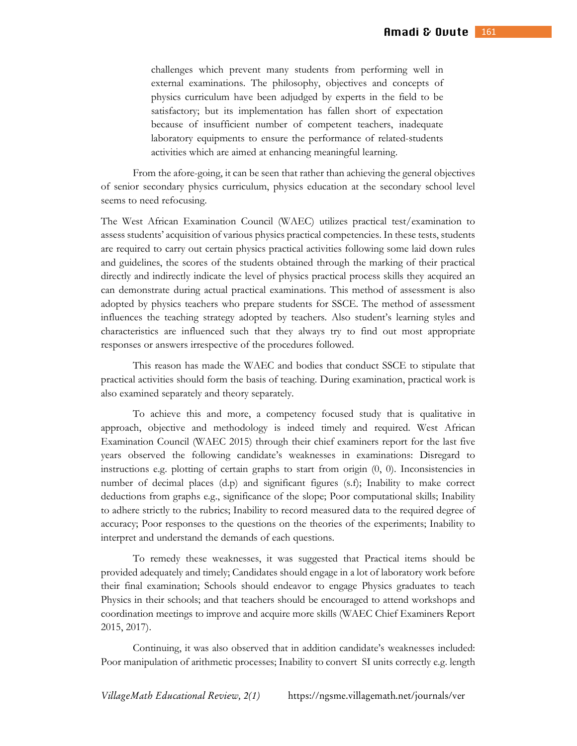challenges which prevent many students from performing well in external examinations. The philosophy, objectives and concepts of physics curriculum have been adjudged by experts in the field to be satisfactory; but its implementation has fallen short of expectation because of insufficient number of competent teachers, inadequate laboratory equipments to ensure the performance of related-students activities which are aimed at enhancing meaningful learning.

 From the afore-going, it can be seen that rather than achieving the general objectives of senior secondary physics curriculum, physics education at the secondary school level seems to need refocusing.

The West African Examination Council (WAEC) utilizes practical test/examination to assess students' acquisition of various physics practical competencies. In these tests, students are required to carry out certain physics practical activities following some laid down rules and guidelines, the scores of the students obtained through the marking of their practical directly and indirectly indicate the level of physics practical process skills they acquired an can demonstrate during actual practical examinations. This method of assessment is also adopted by physics teachers who prepare students for SSCE. The method of assessment influences the teaching strategy adopted by teachers. Also student's learning styles and characteristics are influenced such that they always try to find out most appropriate responses or answers irrespective of the procedures followed.

This reason has made the WAEC and bodies that conduct SSCE to stipulate that practical activities should form the basis of teaching. During examination, practical work is also examined separately and theory separately.

To achieve this and more, a competency focused study that is qualitative in approach, objective and methodology is indeed timely and required. West African Examination Council (WAEC 2015) through their chief examiners report for the last five years observed the following candidate's weaknesses in examinations: Disregard to instructions e.g. plotting of certain graphs to start from origin (0, 0). Inconsistencies in number of decimal places (d.p) and significant figures (s.f); Inability to make correct deductions from graphs e.g., significance of the slope; Poor computational skills; Inability to adhere strictly to the rubrics; Inability to record measured data to the required degree of accuracy; Poor responses to the questions on the theories of the experiments; Inability to interpret and understand the demands of each questions.

To remedy these weaknesses, it was suggested that Practical items should be provided adequately and timely; Candidates should engage in a lot of laboratory work before their final examination; Schools should endeavor to engage Physics graduates to teach Physics in their schools; and that teachers should be encouraged to attend workshops and coordination meetings to improve and acquire more skills (WAEC Chief Examiners Report 2015, 2017).

Continuing, it was also observed that in addition candidate's weaknesses included: Poor manipulation of arithmetic processes; Inability to convert SI units correctly e.g. length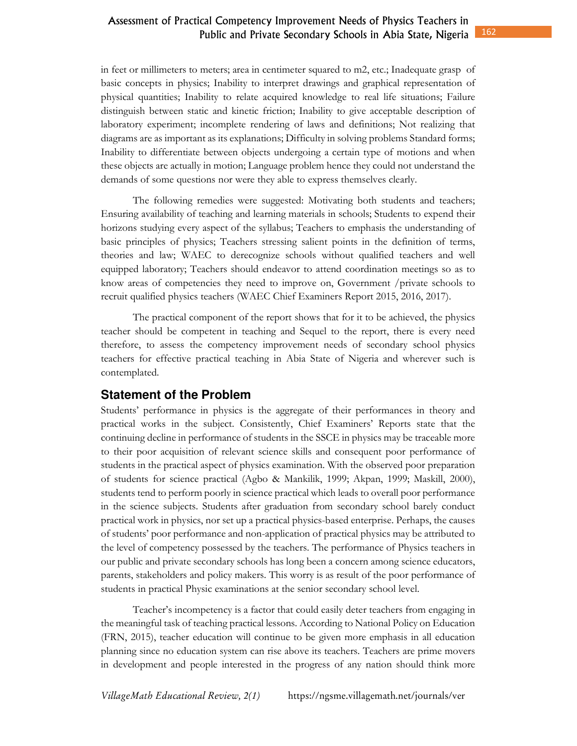in feet or millimeters to meters; area in centimeter squared to m2, etc.; Inadequate grasp of basic concepts in physics; Inability to interpret drawings and graphical representation of physical quantities; Inability to relate acquired knowledge to real life situations; Failure distinguish between static and kinetic friction; Inability to give acceptable description of laboratory experiment; incomplete rendering of laws and definitions; Not realizing that diagrams are as important as its explanations; Difficulty in solving problems Standard forms; Inability to differentiate between objects undergoing a certain type of motions and when these objects are actually in motion; Language problem hence they could not understand the demands of some questions nor were they able to express themselves clearly.

The following remedies were suggested: Motivating both students and teachers; Ensuring availability of teaching and learning materials in schools; Students to expend their horizons studying every aspect of the syllabus; Teachers to emphasis the understanding of basic principles of physics; Teachers stressing salient points in the definition of terms, theories and law; WAEC to derecognize schools without qualified teachers and well equipped laboratory; Teachers should endeavor to attend coordination meetings so as to know areas of competencies they need to improve on, Government /private schools to recruit qualified physics teachers (WAEC Chief Examiners Report 2015, 2016, 2017).

The practical component of the report shows that for it to be achieved, the physics teacher should be competent in teaching and Sequel to the report, there is every need therefore, to assess the competency improvement needs of secondary school physics teachers for effective practical teaching in Abia State of Nigeria and wherever such is contemplated.

# **Statement of the Problem**

Students' performance in physics is the aggregate of their performances in theory and practical works in the subject. Consistently, Chief Examiners' Reports state that the continuing decline in performance of students in the SSCE in physics may be traceable more to their poor acquisition of relevant science skills and consequent poor performance of students in the practical aspect of physics examination. With the observed poor preparation of students for science practical (Agbo & Mankilik, 1999; Akpan, 1999; Maskill, 2000), students tend to perform poorly in science practical which leads to overall poor performance in the science subjects. Students after graduation from secondary school barely conduct practical work in physics, nor set up a practical physics-based enterprise. Perhaps, the causes of students' poor performance and non-application of practical physics may be attributed to the level of competency possessed by the teachers. The performance of Physics teachers in our public and private secondary schools has long been a concern among science educators, parents, stakeholders and policy makers. This worry is as result of the poor performance of students in practical Physic examinations at the senior secondary school level.

Teacher's incompetency is a factor that could easily deter teachers from engaging in the meaningful task of teaching practical lessons. According to National Policy on Education (FRN, 2015), teacher education will continue to be given more emphasis in all education planning since no education system can rise above its teachers. Teachers are prime movers in development and people interested in the progress of any nation should think more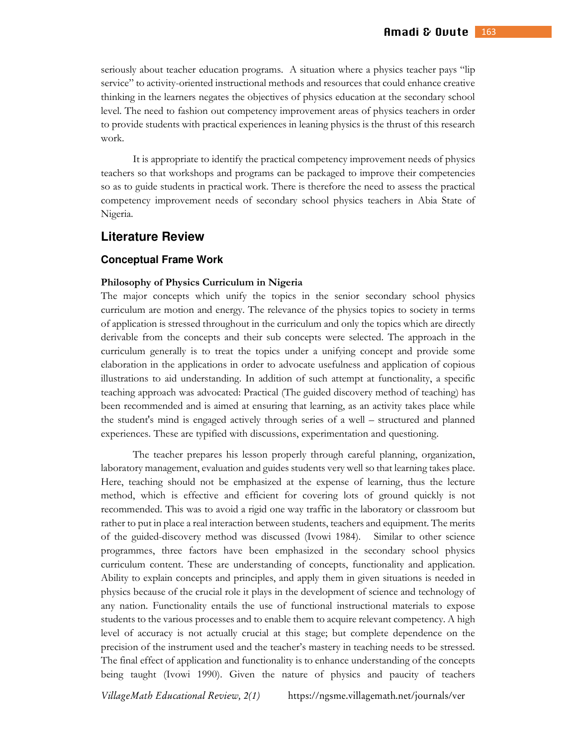seriously about teacher education programs. A situation where a physics teacher pays "lip service" to activity-oriented instructional methods and resources that could enhance creative thinking in the learners negates the objectives of physics education at the secondary school level. The need to fashion out competency improvement areas of physics teachers in order to provide students with practical experiences in leaning physics is the thrust of this research work.

It is appropriate to identify the practical competency improvement needs of physics teachers so that workshops and programs can be packaged to improve their competencies so as to guide students in practical work. There is therefore the need to assess the practical competency improvement needs of secondary school physics teachers in Abia State of Nigeria.

### **Literature Review**

#### **Conceptual Frame Work**

#### **Philosophy of Physics Curriculum in Nigeria**

The major concepts which unify the topics in the senior secondary school physics curriculum are motion and energy. The relevance of the physics topics to society in terms of application is stressed throughout in the curriculum and only the topics which are directly derivable from the concepts and their sub concepts were selected. The approach in the curriculum generally is to treat the topics under a unifying concept and provide some elaboration in the applications in order to advocate usefulness and application of copious illustrations to aid understanding. In addition of such attempt at functionality, a specific teaching approach was advocated: Practical (The guided discovery method of teaching) has been recommended and is aimed at ensuring that learning, as an activity takes place while the student's mind is engaged actively through series of a well – structured and planned experiences. These are typified with discussions, experimentation and questioning.

The teacher prepares his lesson properly through careful planning, organization, laboratory management, evaluation and guides students very well so that learning takes place. Here, teaching should not be emphasized at the expense of learning, thus the lecture method, which is effective and efficient for covering lots of ground quickly is not recommended. This was to avoid a rigid one way traffic in the laboratory or classroom but rather to put in place a real interaction between students, teachers and equipment. The merits of the guided-discovery method was discussed (Ivowi 1984). Similar to other science programmes, three factors have been emphasized in the secondary school physics curriculum content. These are understanding of concepts, functionality and application. Ability to explain concepts and principles, and apply them in given situations is needed in physics because of the crucial role it plays in the development of science and technology of any nation. Functionality entails the use of functional instructional materials to expose students to the various processes and to enable them to acquire relevant competency. A high level of accuracy is not actually crucial at this stage; but complete dependence on the precision of the instrument used and the teacher's mastery in teaching needs to be stressed. The final effect of application and functionality is to enhance understanding of the concepts being taught (Ivowi 1990). Given the nature of physics and paucity of teachers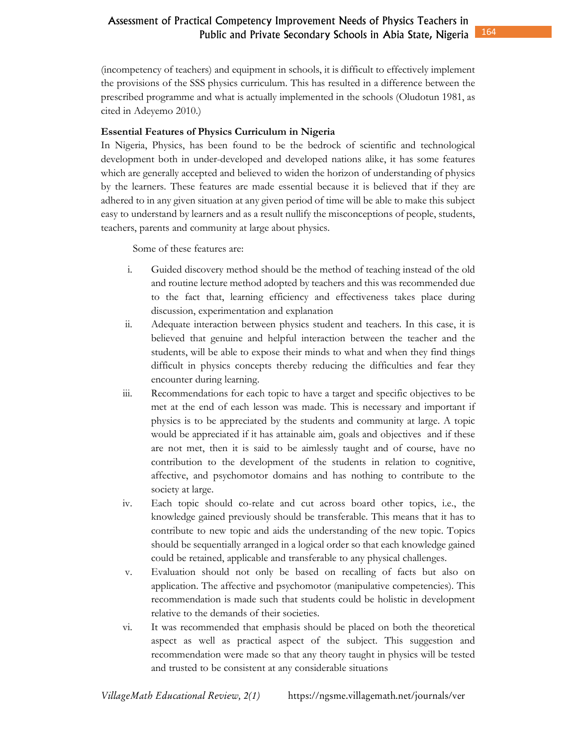(incompetency of teachers) and equipment in schools, it is difficult to effectively implement the provisions of the SSS physics curriculum. This has resulted in a difference between the prescribed programme and what is actually implemented in the schools (Oludotun 1981, as cited in Adeyemo 2010.)

### **Essential Features of Physics Curriculum in Nigeria**

In Nigeria, Physics, has been found to be the bedrock of scientific and technological development both in under-developed and developed nations alike, it has some features which are generally accepted and believed to widen the horizon of understanding of physics by the learners. These features are made essential because it is believed that if they are adhered to in any given situation at any given period of time will be able to make this subject easy to understand by learners and as a result nullify the misconceptions of people, students, teachers, parents and community at large about physics.

Some of these features are:

- i. Guided discovery method should be the method of teaching instead of the old and routine lecture method adopted by teachers and this was recommended due to the fact that, learning efficiency and effectiveness takes place during discussion, experimentation and explanation
- ii. Adequate interaction between physics student and teachers. In this case, it is believed that genuine and helpful interaction between the teacher and the students, will be able to expose their minds to what and when they find things difficult in physics concepts thereby reducing the difficulties and fear they encounter during learning.
- iii. Recommendations for each topic to have a target and specific objectives to be met at the end of each lesson was made. This is necessary and important if physics is to be appreciated by the students and community at large. A topic would be appreciated if it has attainable aim, goals and objectives and if these are not met, then it is said to be aimlessly taught and of course, have no contribution to the development of the students in relation to cognitive, affective, and psychomotor domains and has nothing to contribute to the society at large.
- iv. Each topic should co-relate and cut across board other topics, i.e., the knowledge gained previously should be transferable. This means that it has to contribute to new topic and aids the understanding of the new topic. Topics should be sequentially arranged in a logical order so that each knowledge gained could be retained, applicable and transferable to any physical challenges.
- v. Evaluation should not only be based on recalling of facts but also on application. The affective and psychomotor (manipulative competencies). This recommendation is made such that students could be holistic in development relative to the demands of their societies.
- vi. It was recommended that emphasis should be placed on both the theoretical aspect as well as practical aspect of the subject. This suggestion and recommendation were made so that any theory taught in physics will be tested and trusted to be consistent at any considerable situations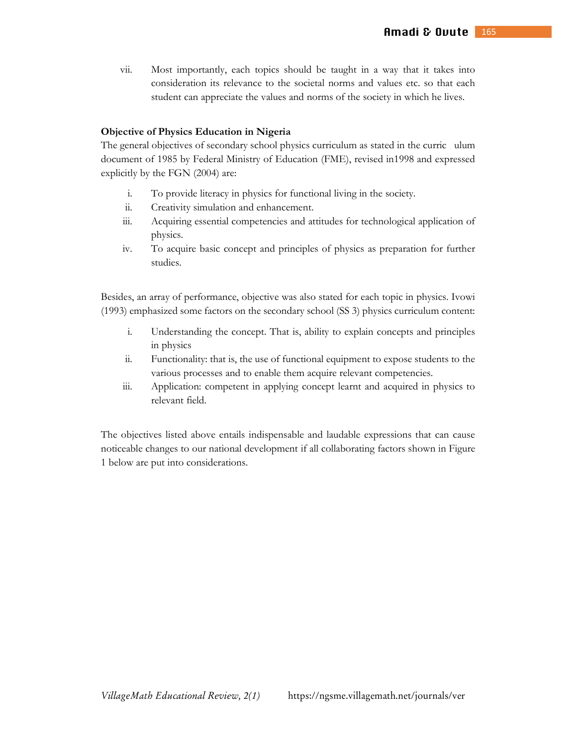vii. Most importantly, each topics should be taught in a way that it takes into consideration its relevance to the societal norms and values etc. so that each student can appreciate the values and norms of the society in which he lives.

#### **Objective of Physics Education in Nigeria**

The general objectives of secondary school physics curriculum as stated in the curric ulum document of 1985 by Federal Ministry of Education (FME), revised in1998 and expressed explicitly by the FGN (2004) are:

- i. To provide literacy in physics for functional living in the society.
- ii. Creativity simulation and enhancement.
- iii. Acquiring essential competencies and attitudes for technological application of physics.
- iv. To acquire basic concept and principles of physics as preparation for further studies.

Besides, an array of performance, objective was also stated for each topic in physics. Ivowi (1993) emphasized some factors on the secondary school (SS 3) physics curriculum content:

- i. Understanding the concept. That is, ability to explain concepts and principles in physics
- ii. Functionality: that is, the use of functional equipment to expose students to the various processes and to enable them acquire relevant competencies.
- iii. Application: competent in applying concept learnt and acquired in physics to relevant field.

The objectives listed above entails indispensable and laudable expressions that can cause noticeable changes to our national development if all collaborating factors shown in Figure 1 below are put into considerations.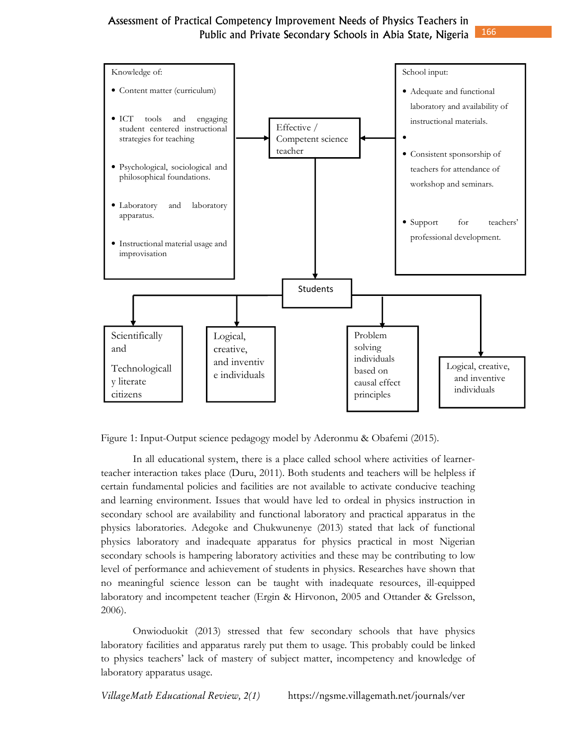

Figure 1: Input-Output science pedagogy model by Aderonmu & Obafemi (2015).

In all educational system, there is a place called school where activities of learnerteacher interaction takes place (Duru, 2011). Both students and teachers will be helpless if certain fundamental policies and facilities are not available to activate conducive teaching and learning environment. Issues that would have led to ordeal in physics instruction in secondary school are availability and functional laboratory and practical apparatus in the physics laboratories. Adegoke and Chukwunenye (2013) stated that lack of functional physics laboratory and inadequate apparatus for physics practical in most Nigerian secondary schools is hampering laboratory activities and these may be contributing to low level of performance and achievement of students in physics. Researches have shown that no meaningful science lesson can be taught with inadequate resources, ill-equipped laboratory and incompetent teacher (Ergin & Hirvonon, 2005 and Ottander & Grelsson, 2006).

Onwioduokit (2013) stressed that few secondary schools that have physics laboratory facilities and apparatus rarely put them to usage. This probably could be linked to physics teachers' lack of mastery of subject matter, incompetency and knowledge of laboratory apparatus usage.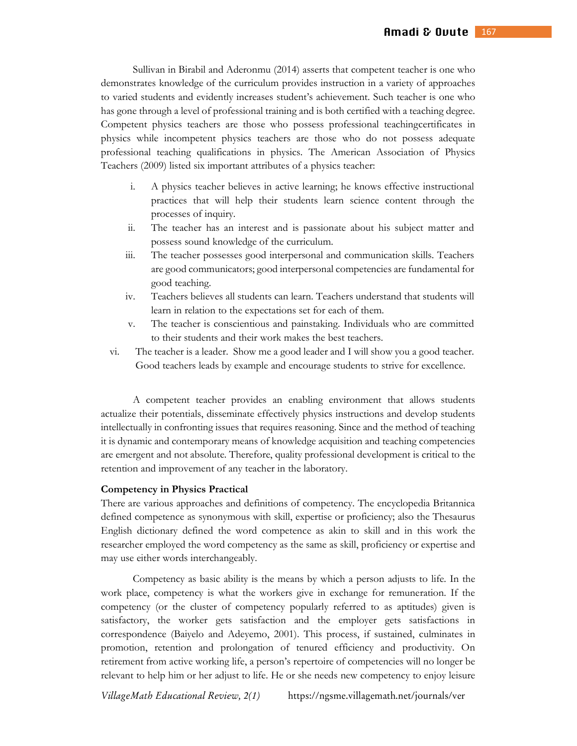Sullivan in Birabil and Aderonmu (2014) asserts that competent teacher is one who demonstrates knowledge of the curriculum provides instruction in a variety of approaches to varied students and evidently increases student's achievement. Such teacher is one who has gone through a level of professional training and is both certified with a teaching degree. Competent physics teachers are those who possess professional teachingcertificates in physics while incompetent physics teachers are those who do not possess adequate professional teaching qualifications in physics. The American Association of Physics Teachers (2009) listed six important attributes of a physics teacher:

- i. A physics teacher believes in active learning; he knows effective instructional practices that will help their students learn science content through the processes of inquiry.
- ii. The teacher has an interest and is passionate about his subject matter and possess sound knowledge of the curriculum.
- iii. The teacher possesses good interpersonal and communication skills. Teachers are good communicators; good interpersonal competencies are fundamental for good teaching.
- iv. Teachers believes all students can learn. Teachers understand that students will learn in relation to the expectations set for each of them.
- v. The teacher is conscientious and painstaking. Individuals who are committed to their students and their work makes the best teachers.
- vi. The teacher is a leader. Show me a good leader and I will show you a good teacher. Good teachers leads by example and encourage students to strive for excellence.

A competent teacher provides an enabling environment that allows students actualize their potentials, disseminate effectively physics instructions and develop students intellectually in confronting issues that requires reasoning. Since and the method of teaching it is dynamic and contemporary means of knowledge acquisition and teaching competencies are emergent and not absolute. Therefore, quality professional development is critical to the retention and improvement of any teacher in the laboratory.

#### **Competency in Physics Practical**

There are various approaches and definitions of competency. The encyclopedia Britannica defined competence as synonymous with skill, expertise or proficiency; also the Thesaurus English dictionary defined the word competence as akin to skill and in this work the researcher employed the word competency as the same as skill, proficiency or expertise and may use either words interchangeably.

Competency as basic ability is the means by which a person adjusts to life. In the work place, competency is what the workers give in exchange for remuneration. If the competency (or the cluster of competency popularly referred to as aptitudes) given is satisfactory, the worker gets satisfaction and the employer gets satisfactions in correspondence (Baiyelo and Adeyemo, 2001). This process, if sustained, culminates in promotion, retention and prolongation of tenured efficiency and productivity. On retirement from active working life, a person's repertoire of competencies will no longer be relevant to help him or her adjust to life. He or she needs new competency to enjoy leisure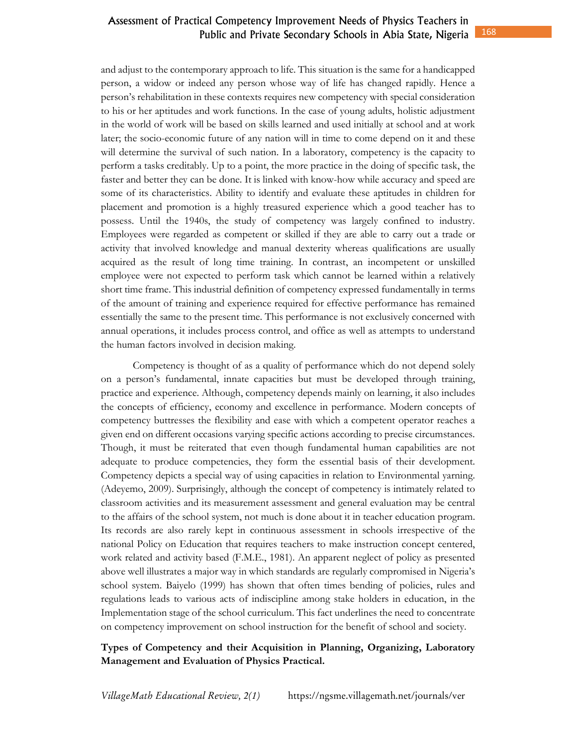and adjust to the contemporary approach to life. This situation is the same for a handicapped person, a widow or indeed any person whose way of life has changed rapidly. Hence a person's rehabilitation in these contexts requires new competency with special consideration to his or her aptitudes and work functions. In the case of young adults, holistic adjustment in the world of work will be based on skills learned and used initially at school and at work later; the socio-economic future of any nation will in time to come depend on it and these will determine the survival of such nation. In a laboratory, competency is the capacity to perform a tasks creditably. Up to a point, the more practice in the doing of specific task, the faster and better they can be done. It is linked with know-how while accuracy and speed are some of its characteristics. Ability to identify and evaluate these aptitudes in children for placement and promotion is a highly treasured experience which a good teacher has to possess. Until the 1940s, the study of competency was largely confined to industry. Employees were regarded as competent or skilled if they are able to carry out a trade or activity that involved knowledge and manual dexterity whereas qualifications are usually acquired as the result of long time training. In contrast, an incompetent or unskilled employee were not expected to perform task which cannot be learned within a relatively short time frame. This industrial definition of competency expressed fundamentally in terms of the amount of training and experience required for effective performance has remained essentially the same to the present time. This performance is not exclusively concerned with annual operations, it includes process control, and office as well as attempts to understand the human factors involved in decision making.

Competency is thought of as a quality of performance which do not depend solely on a person's fundamental, innate capacities but must be developed through training, practice and experience. Although, competency depends mainly on learning, it also includes the concepts of efficiency, economy and excellence in performance. Modern concepts of competency buttresses the flexibility and ease with which a competent operator reaches a given end on different occasions varying specific actions according to precise circumstances. Though, it must be reiterated that even though fundamental human capabilities are not adequate to produce competencies, they form the essential basis of their development. Competency depicts a special way of using capacities in relation to Environmental yarning. (Adeyemo, 2009). Surprisingly, although the concept of competency is intimately related to classroom activities and its measurement assessment and general evaluation may be central to the affairs of the school system, not much is done about it in teacher education program. Its records are also rarely kept in continuous assessment in schools irrespective of the national Policy on Education that requires teachers to make instruction concept centered, work related and activity based (F.M.E., 1981). An apparent neglect of policy as presented above well illustrates a major way in which standards are regularly compromised in Nigeria's school system. Baiyelo (1999) has shown that often times bending of policies, rules and regulations leads to various acts of indiscipline among stake holders in education, in the Implementation stage of the school curriculum. This fact underlines the need to concentrate on competency improvement on school instruction for the benefit of school and society.

# **Types of Competency and their Acquisition in Planning, Organizing, Laboratory Management and Evaluation of Physics Practical.**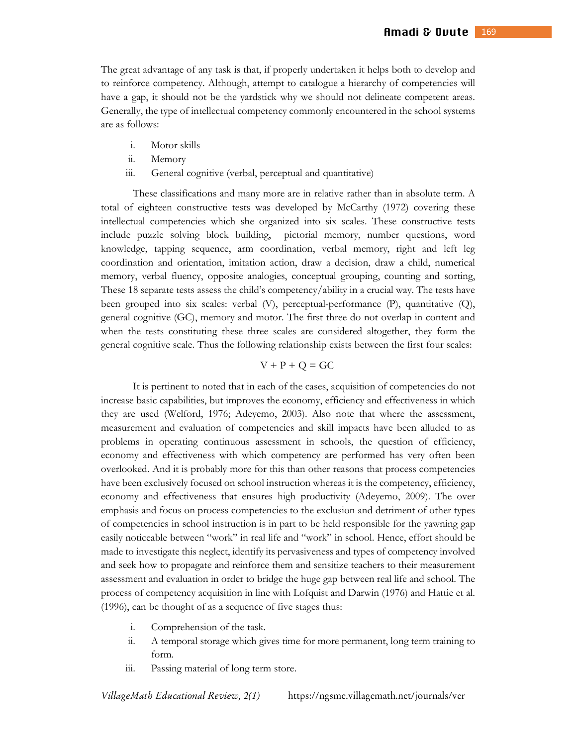The great advantage of any task is that, if properly undertaken it helps both to develop and to reinforce competency. Although, attempt to catalogue a hierarchy of competencies will have a gap, it should not be the yardstick why we should not delineate competent areas. Generally, the type of intellectual competency commonly encountered in the school systems are as follows:

- i. Motor skills
- ii. Memory
- iii. General cognitive (verbal, perceptual and quantitative)

These classifications and many more are in relative rather than in absolute term. A total of eighteen constructive tests was developed by McCarthy (1972) covering these intellectual competencies which she organized into six scales. These constructive tests include puzzle solving block building, pictorial memory, number questions, word knowledge, tapping sequence, arm coordination, verbal memory, right and left leg coordination and orientation, imitation action, draw a decision, draw a child, numerical memory, verbal fluency, opposite analogies, conceptual grouping, counting and sorting, These 18 separate tests assess the child's competency/ability in a crucial way. The tests have been grouped into six scales: verbal (V), perceptual-performance (P), quantitative (Q), general cognitive (GC), memory and motor. The first three do not overlap in content and when the tests constituting these three scales are considered altogether, they form the general cognitive scale. Thus the following relationship exists between the first four scales:

#### $V + P + Q = GC$

It is pertinent to noted that in each of the cases, acquisition of competencies do not increase basic capabilities, but improves the economy, efficiency and effectiveness in which they are used (Welford, 1976; Adeyemo, 2003). Also note that where the assessment, measurement and evaluation of competencies and skill impacts have been alluded to as problems in operating continuous assessment in schools, the question of efficiency, economy and effectiveness with which competency are performed has very often been overlooked. And it is probably more for this than other reasons that process competencies have been exclusively focused on school instruction whereas it is the competency, efficiency, economy and effectiveness that ensures high productivity (Adeyemo, 2009). The over emphasis and focus on process competencies to the exclusion and detriment of other types of competencies in school instruction is in part to be held responsible for the yawning gap easily noticeable between "work" in real life and "work" in school. Hence, effort should be made to investigate this neglect, identify its pervasiveness and types of competency involved and seek how to propagate and reinforce them and sensitize teachers to their measurement assessment and evaluation in order to bridge the huge gap between real life and school. The process of competency acquisition in line with Lofquist and Darwin (1976) and Hattie et al. (1996), can be thought of as a sequence of five stages thus:

- i. Comprehension of the task.
- ii. A temporal storage which gives time for more permanent, long term training to form.
- iii. Passing material of long term store.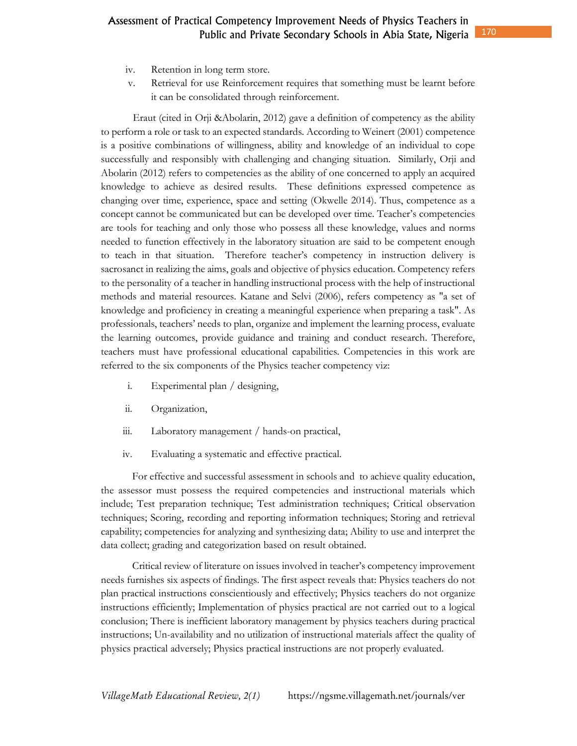- iv. Retention in long term store.
- v. Retrieval for use Reinforcement requires that something must be learnt before it can be consolidated through reinforcement.

Eraut (cited in Orji &Abolarin, 2012) gave a definition of competency as the ability to perform a role or task to an expected standards. According to Weinert (2001) competence is a positive combinations of willingness, ability and knowledge of an individual to cope successfully and responsibly with challenging and changing situation. Similarly, Orji and Abolarin (2012) refers to competencies as the ability of one concerned to apply an acquired knowledge to achieve as desired results. These definitions expressed competence as changing over time, experience, space and setting (Okwelle 2014). Thus, competence as a concept cannot be communicated but can be developed over time. Teacher's competencies are tools for teaching and only those who possess all these knowledge, values and norms needed to function effectively in the laboratory situation are said to be competent enough to teach in that situation. Therefore teacher's competency in instruction delivery is sacrosanct in realizing the aims, goals and objective of physics education. Competency refers to the personality of a teacher in handling instructional process with the help of instructional methods and material resources. Katane and Selvi (2006), refers competency as "a set of knowledge and proficiency in creating a meaningful experience when preparing a task". As professionals, teachers' needs to plan, organize and implement the learning process, evaluate the learning outcomes, provide guidance and training and conduct research. Therefore, teachers must have professional educational capabilities. Competencies in this work are referred to the six components of the Physics teacher competency viz:

- i. Experimental plan / designing,
- ii. Organization,
- iii. Laboratory management / hands-on practical,
- iv. Evaluating a systematic and effective practical.

For effective and successful assessment in schools and to achieve quality education, the assessor must possess the required competencies and instructional materials which include; Test preparation technique; Test administration techniques; Critical observation techniques; Scoring, recording and reporting information techniques; Storing and retrieval capability; competencies for analyzing and synthesizing data; Ability to use and interpret the data collect; grading and categorization based on result obtained.

Critical review of literature on issues involved in teacher's competency improvement needs furnishes six aspects of findings. The first aspect reveals that: Physics teachers do not plan practical instructions conscientiously and effectively; Physics teachers do not organize instructions efficiently; Implementation of physics practical are not carried out to a logical conclusion; There is inefficient laboratory management by physics teachers during practical instructions; Un-availability and no utilization of instructional materials affect the quality of physics practical adversely; Physics practical instructions are not properly evaluated.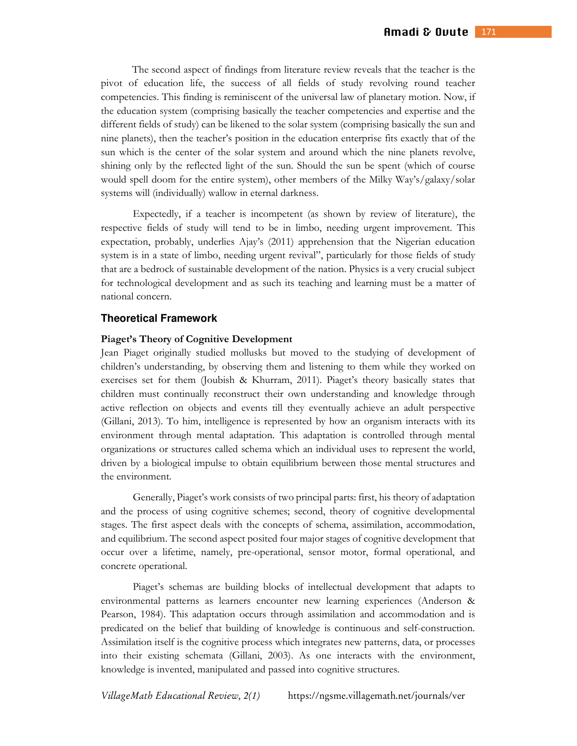The second aspect of findings from literature review reveals that the teacher is the pivot of education life, the success of all fields of study revolving round teacher competencies. This finding is reminiscent of the universal law of planetary motion. Now, if the education system (comprising basically the teacher competencies and expertise and the different fields of study) can be likened to the solar system (comprising basically the sun and nine planets), then the teacher's position in the education enterprise fits exactly that of the sun which is the center of the solar system and around which the nine planets revolve, shining only by the reflected light of the sun. Should the sun be spent (which of course would spell doom for the entire system), other members of the Milky Way's/galaxy/solar systems will (individually) wallow in eternal darkness.

 Expectedly, if a teacher is incompetent (as shown by review of literature), the respective fields of study will tend to be in limbo, needing urgent improvement. This expectation, probably, underlies Ajay's (2011) apprehension that the Nigerian education system is in a state of limbo, needing urgent revival", particularly for those fields of study that are a bedrock of sustainable development of the nation. Physics is a very crucial subject for technological development and as such its teaching and learning must be a matter of national concern.

#### **Theoretical Framework**

#### **Piaget's Theory of Cognitive Development**

Jean Piaget originally studied mollusks but moved to the studying of development of children's understanding, by observing them and listening to them while they worked on exercises set for them (Joubish & Khurram, 2011). Piaget's theory basically states that children must continually reconstruct their own understanding and knowledge through active reflection on objects and events till they eventually achieve an adult perspective (Gillani, 2013). To him, intelligence is represented by how an organism interacts with its environment through mental adaptation. This adaptation is controlled through mental organizations or structures called schema which an individual uses to represent the world, driven by a biological impulse to obtain equilibrium between those mental structures and the environment.

Generally, Piaget's work consists of two principal parts: first, his theory of adaptation and the process of using cognitive schemes; second, theory of cognitive developmental stages. The first aspect deals with the concepts of schema, assimilation, accommodation, and equilibrium. The second aspect posited four major stages of cognitive development that occur over a lifetime, namely, pre-operational, sensor motor, formal operational, and concrete operational.

Piaget's schemas are building blocks of intellectual development that adapts to environmental patterns as learners encounter new learning experiences (Anderson & Pearson, 1984). This adaptation occurs through assimilation and accommodation and is predicated on the belief that building of knowledge is continuous and self-construction. Assimilation itself is the cognitive process which integrates new patterns, data, or processes into their existing schemata (Gillani, 2003). As one interacts with the environment, knowledge is invented, manipulated and passed into cognitive structures.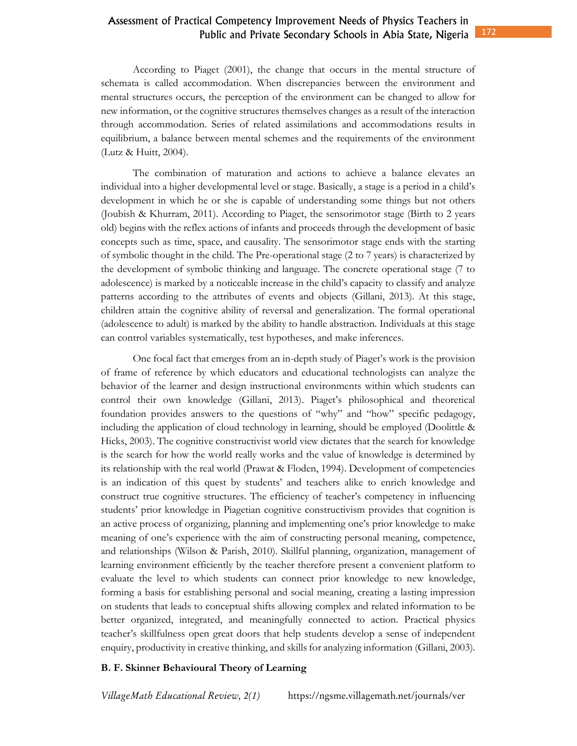According to Piaget (2001), the change that occurs in the mental structure of schemata is called accommodation. When discrepancies between the environment and mental structures occurs, the perception of the environment can be changed to allow for new information, or the cognitive structures themselves changes as a result of the interaction through accommodation. Series of related assimilations and accommodations results in equilibrium, a balance between mental schemes and the requirements of the environment (Lutz & Huitt, 2004).

The combination of maturation and actions to achieve a balance elevates an individual into a higher developmental level or stage. Basically, a stage is a period in a child's development in which he or she is capable of understanding some things but not others (Joubish & Khurram, 2011). According to Piaget, the sensorimotor stage (Birth to 2 years old) begins with the reflex actions of infants and proceeds through the development of basic concepts such as time, space, and causality. The sensorimotor stage ends with the starting of symbolic thought in the child. The Pre-operational stage (2 to 7 years) is characterized by the development of symbolic thinking and language. The concrete operational stage (7 to adolescence) is marked by a noticeable increase in the child's capacity to classify and analyze patterns according to the attributes of events and objects (Gillani, 2013). At this stage, children attain the cognitive ability of reversal and generalization. The formal operational (adolescence to adult) is marked by the ability to handle abstraction. Individuals at this stage can control variables systematically, test hypotheses, and make inferences.

One focal fact that emerges from an in-depth study of Piaget's work is the provision of frame of reference by which educators and educational technologists can analyze the behavior of the learner and design instructional environments within which students can control their own knowledge (Gillani, 2013). Piaget's philosophical and theoretical foundation provides answers to the questions of "why" and "how" specific pedagogy, including the application of cloud technology in learning, should be employed (Doolittle & Hicks, 2003). The cognitive constructivist world view dictates that the search for knowledge is the search for how the world really works and the value of knowledge is determined by its relationship with the real world (Prawat & Floden, 1994). Development of competencies is an indication of this quest by students' and teachers alike to enrich knowledge and construct true cognitive structures. The efficiency of teacher's competency in influencing students' prior knowledge in Piagetian cognitive constructivism provides that cognition is an active process of organizing, planning and implementing one's prior knowledge to make meaning of one's experience with the aim of constructing personal meaning, competence, and relationships (Wilson & Parish, 2010). Skillful planning, organization, management of learning environment efficiently by the teacher therefore present a convenient platform to evaluate the level to which students can connect prior knowledge to new knowledge, forming a basis for establishing personal and social meaning, creating a lasting impression on students that leads to conceptual shifts allowing complex and related information to be better organized, integrated, and meaningfully connected to action. Practical physics teacher's skillfulness open great doors that help students develop a sense of independent enquiry, productivity in creative thinking, and skills for analyzing information (Gillani, 2003).

#### **B. F. Skinner Behavioural Theory of Learning**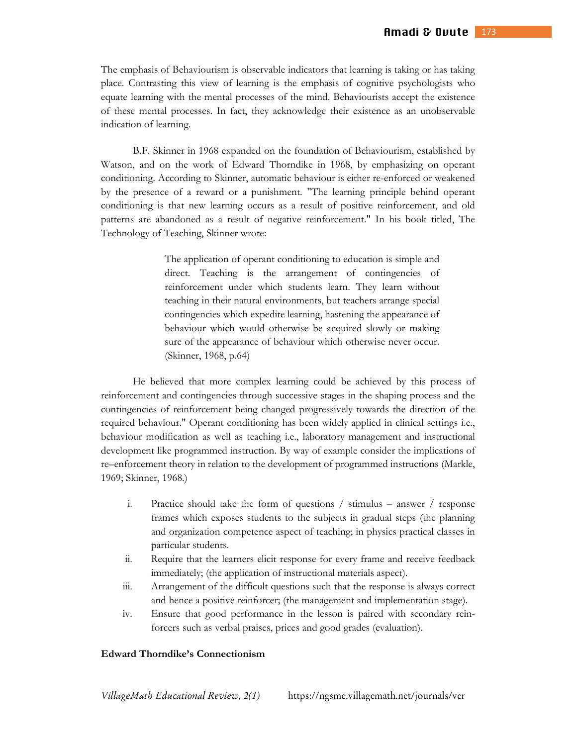The emphasis of Behaviourism is observable indicators that learning is taking or has taking place. Contrasting this view of learning is the emphasis of cognitive psychologists who equate learning with the mental processes of the mind. Behaviourists accept the existence of these mental processes. In fact, they acknowledge their existence as an unobservable indication of learning.

B.F. Skinner in 1968 expanded on the foundation of Behaviourism, established by Watson, and on the work of Edward Thorndike in 1968, by emphasizing on operant conditioning. According to Skinner, automatic behaviour is either re-enforced or weakened by the presence of a reward or a punishment. "The learning principle behind operant conditioning is that new learning occurs as a result of positive reinforcement, and old patterns are abandoned as a result of negative reinforcement." In his book titled, The Technology of Teaching, Skinner wrote:

> The application of operant conditioning to education is simple and direct. Teaching is the arrangement of contingencies of reinforcement under which students learn. They learn without teaching in their natural environments, but teachers arrange special contingencies which expedite learning, hastening the appearance of behaviour which would otherwise be acquired slowly or making sure of the appearance of behaviour which otherwise never occur. (Skinner, 1968, p.64)

He believed that more complex learning could be achieved by this process of reinforcement and contingencies through successive stages in the shaping process and the contingencies of reinforcement being changed progressively towards the direction of the required behaviour." Operant conditioning has been widely applied in clinical settings i.e., behaviour modification as well as teaching i.e., laboratory management and instructional development like programmed instruction. By way of example consider the implications of re–enforcement theory in relation to the development of programmed instructions (Markle, 1969; Skinner, 1968.)

- i. Practice should take the form of questions / stimulus answer / response frames which exposes students to the subjects in gradual steps (the planning and organization competence aspect of teaching; in physics practical classes in particular students.
- ii. Require that the learners elicit response for every frame and receive feedback immediately; (the application of instructional materials aspect).
- iii. Arrangement of the difficult questions such that the response is always correct and hence a positive reinforcer; (the management and implementation stage).
- iv. Ensure that good performance in the lesson is paired with secondary reinforcers such as verbal praises, prices and good grades (evaluation).

#### **Edward Thorndike's Connectionism**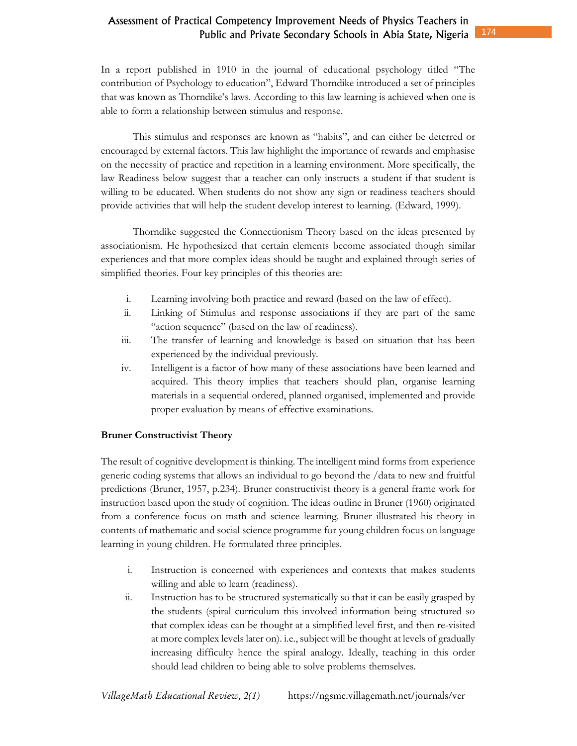In a report published in 1910 in the journal of educational psychology titled "The contribution of Psychology to education", Edward Thorndike introduced a set of principles that was known as Thorndike's laws. According to this law learning is achieved when one is able to form a relationship between stimulus and response.

This stimulus and responses are known as "habits", and can either be deterred or encouraged by external factors. This law highlight the importance of rewards and emphasise on the necessity of practice and repetition in a learning environment. More specifically, the law Readiness below suggest that a teacher can only instructs a student if that student is willing to be educated. When students do not show any sign or readiness teachers should provide activities that will help the student develop interest to learning. (Edward, 1999).

Thorndike suggested the Connectionism Theory based on the ideas presented by associationism. He hypothesized that certain elements become associated though similar experiences and that more complex ideas should be taught and explained through series of simplified theories. Four key principles of this theories are:

- i. Learning involving both practice and reward (based on the law of effect).
- ii. Linking of Stimulus and response associations if they are part of the same "action sequence" (based on the law of readiness).
- iii. The transfer of learning and knowledge is based on situation that has been experienced by the individual previously.
- iv. Intelligent is a factor of how many of these associations have been learned and acquired. This theory implies that teachers should plan, organise learning materials in a sequential ordered, planned organised, implemented and provide proper evaluation by means of effective examinations.

### **Bruner Constructivist Theory**

The result of cognitive development is thinking. The intelligent mind forms from experience generic coding systems that allows an individual to go beyond the /data to new and fruitful predictions (Bruner, 1957, p.234). Bruner constructivist theory is a general frame work for instruction based upon the study of cognition. The ideas outline in Bruner (1960) originated from a conference focus on math and science learning. Bruner illustrated his theory in contents of mathematic and social science programme for young children focus on language learning in young children. He formulated three principles.

- i. Instruction is concerned with experiences and contexts that makes students willing and able to learn (readiness).
- ii. Instruction has to be structured systematically so that it can be easily grasped by the students (spiral curriculum this involved information being structured so that complex ideas can be thought at a simplified level first, and then re-visited at more complex levels later on). i.e., subject will be thought at levels of gradually increasing difficulty hence the spiral analogy. Ideally, teaching in this order should lead children to being able to solve problems themselves.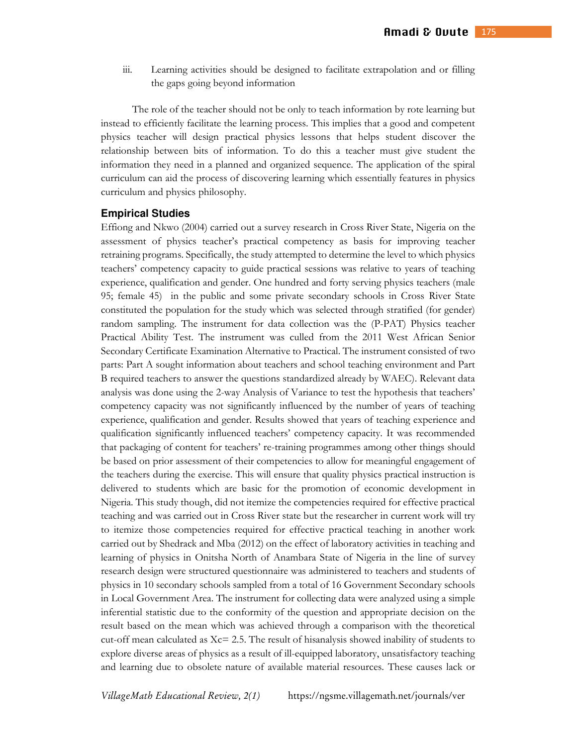iii. Learning activities should be designed to facilitate extrapolation and or filling the gaps going beyond information

The role of the teacher should not be only to teach information by rote learning but instead to efficiently facilitate the learning process. This implies that a good and competent physics teacher will design practical physics lessons that helps student discover the relationship between bits of information. To do this a teacher must give student the information they need in a planned and organized sequence. The application of the spiral curriculum can aid the process of discovering learning which essentially features in physics curriculum and physics philosophy.

#### **Empirical Studies**

Effiong and Nkwo (2004) carried out a survey research in Cross River State, Nigeria on the assessment of physics teacher's practical competency as basis for improving teacher retraining programs. Specifically, the study attempted to determine the level to which physics teachers' competency capacity to guide practical sessions was relative to years of teaching experience, qualification and gender. One hundred and forty serving physics teachers (male 95; female 45) in the public and some private secondary schools in Cross River State constituted the population for the study which was selected through stratified (for gender) random sampling. The instrument for data collection was the (P-PAT) Physics teacher Practical Ability Test. The instrument was culled from the 2011 West African Senior Secondary Certificate Examination Alternative to Practical. The instrument consisted of two parts: Part A sought information about teachers and school teaching environment and Part B required teachers to answer the questions standardized already by WAEC). Relevant data analysis was done using the 2-way Analysis of Variance to test the hypothesis that teachers' competency capacity was not significantly influenced by the number of years of teaching experience, qualification and gender. Results showed that years of teaching experience and qualification significantly influenced teachers' competency capacity. It was recommended that packaging of content for teachers' re-training programmes among other things should be based on prior assessment of their competencies to allow for meaningful engagement of the teachers during the exercise. This will ensure that quality physics practical instruction is delivered to students which are basic for the promotion of economic development in Nigeria. This study though, did not itemize the competencies required for effective practical teaching and was carried out in Cross River state but the researcher in current work will try to itemize those competencies required for effective practical teaching in another work carried out by Shedrack and Mba (2012) on the effect of laboratory activities in teaching and learning of physics in Onitsha North of Anambara State of Nigeria in the line of survey research design were structured questionnaire was administered to teachers and students of physics in 10 secondary schools sampled from a total of 16 Government Secondary schools in Local Government Area. The instrument for collecting data were analyzed using a simple inferential statistic due to the conformity of the question and appropriate decision on the result based on the mean which was achieved through a comparison with the theoretical cut-off mean calculated as  $Xc = 2.5$ . The result of hisanalysis showed inability of students to explore diverse areas of physics as a result of ill-equipped laboratory, unsatisfactory teaching and learning due to obsolete nature of available material resources. These causes lack or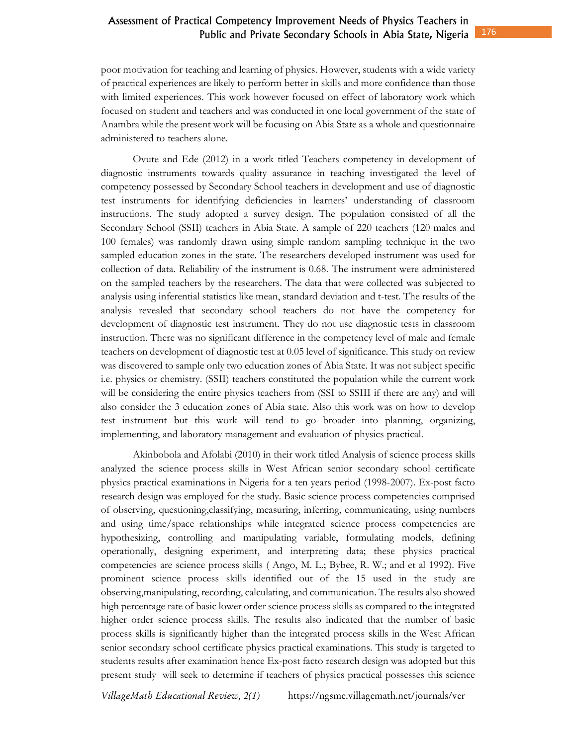poor motivation for teaching and learning of physics. However, students with a wide variety of practical experiences are likely to perform better in skills and more confidence than those with limited experiences. This work however focused on effect of laboratory work which focused on student and teachers and was conducted in one local government of the state of Anambra while the present work will be focusing on Abia State as a whole and questionnaire administered to teachers alone.

Ovute and Ede (2012) in a work titled Teachers competency in development of diagnostic instruments towards quality assurance in teaching investigated the level of competency possessed by Secondary School teachers in development and use of diagnostic test instruments for identifying deficiencies in learners' understanding of classroom instructions. The study adopted a survey design. The population consisted of all the Secondary School (SSII) teachers in Abia State. A sample of 220 teachers (120 males and 100 females) was randomly drawn using simple random sampling technique in the two sampled education zones in the state. The researchers developed instrument was used for collection of data. Reliability of the instrument is 0.68. The instrument were administered on the sampled teachers by the researchers. The data that were collected was subjected to analysis using inferential statistics like mean, standard deviation and t-test. The results of the analysis revealed that secondary school teachers do not have the competency for development of diagnostic test instrument. They do not use diagnostic tests in classroom instruction. There was no significant difference in the competency level of male and female teachers on development of diagnostic test at 0.05 level of significance. This study on review was discovered to sample only two education zones of Abia State. It was not subject specific i.e. physics or chemistry. (SSII) teachers constituted the population while the current work will be considering the entire physics teachers from (SSI to SSIII if there are any) and will also consider the 3 education zones of Abia state. Also this work was on how to develop test instrument but this work will tend to go broader into planning, organizing, implementing, and laboratory management and evaluation of physics practical.

Akinbobola and Afolabi (2010) in their work titled Analysis of science process skills analyzed the science process skills in West African senior secondary school certificate physics practical examinations in Nigeria for a ten years period (1998-2007). Ex-post facto research design was employed for the study. Basic science process competencies comprised of observing, questioning,classifying, measuring, inferring, communicating, using numbers and using time/space relationships while integrated science process competencies are hypothesizing, controlling and manipulating variable, formulating models, defining operationally, designing experiment, and interpreting data; these physics practical competencies are science process skills ( Ango, M. L.; Bybee, R. W.; and et al 1992). Five prominent science process skills identified out of the 15 used in the study are observing,manipulating, recording, calculating, and communication. The results also showed high percentage rate of basic lower order science process skills as compared to the integrated higher order science process skills. The results also indicated that the number of basic process skills is significantly higher than the integrated process skills in the West African senior secondary school certificate physics practical examinations. This study is targeted to students results after examination hence Ex-post facto research design was adopted but this present study will seek to determine if teachers of physics practical possesses this science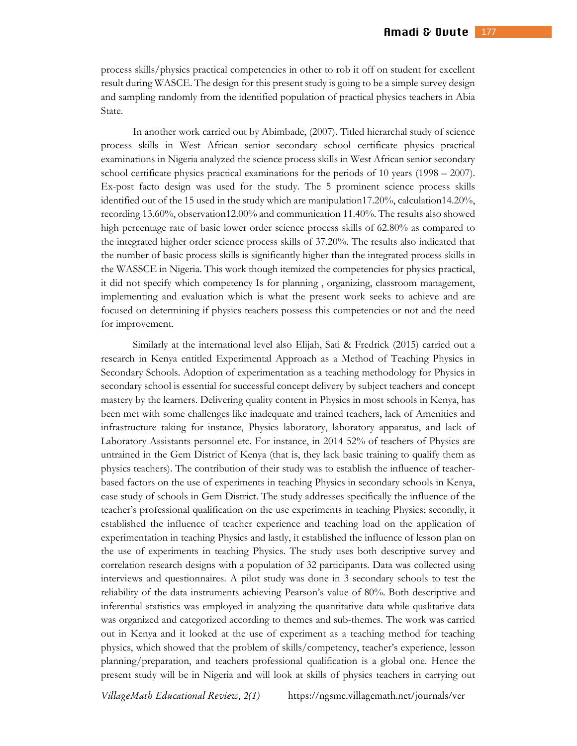process skills/physics practical competencies in other to rob it off on student for excellent result during WASCE. The design for this present study is going to be a simple survey design and sampling randomly from the identified population of practical physics teachers in Abia State.

In another work carried out by Abimbade, (2007). Titled hierarchal study of science process skills in West African senior secondary school certificate physics practical examinations in Nigeria analyzed the science process skills in West African senior secondary school certificate physics practical examinations for the periods of 10 years (1998 – 2007). Ex-post facto design was used for the study. The 5 prominent science process skills identified out of the 15 used in the study which are manipulation17.20%, calculation14.20%, recording 13.60%, observation12.00% and communication 11.40%. The results also showed high percentage rate of basic lower order science process skills of 62.80% as compared to the integrated higher order science process skills of 37.20%. The results also indicated that the number of basic process skills is significantly higher than the integrated process skills in the WASSCE in Nigeria. This work though itemized the competencies for physics practical, it did not specify which competency Is for planning , organizing, classroom management, implementing and evaluation which is what the present work seeks to achieve and are focused on determining if physics teachers possess this competencies or not and the need for improvement.

Similarly at the international level also Elijah, Sati & Fredrick (2015) carried out a research in Kenya entitled Experimental Approach as a Method of Teaching Physics in Secondary Schools. Adoption of experimentation as a teaching methodology for Physics in secondary school is essential for successful concept delivery by subject teachers and concept mastery by the learners. Delivering quality content in Physics in most schools in Kenya, has been met with some challenges like inadequate and trained teachers, lack of Amenities and infrastructure taking for instance, Physics laboratory, laboratory apparatus, and lack of Laboratory Assistants personnel etc. For instance, in 2014 52% of teachers of Physics are untrained in the Gem District of Kenya (that is, they lack basic training to qualify them as physics teachers). The contribution of their study was to establish the influence of teacherbased factors on the use of experiments in teaching Physics in secondary schools in Kenya, case study of schools in Gem District. The study addresses specifically the influence of the teacher's professional qualification on the use experiments in teaching Physics; secondly, it established the influence of teacher experience and teaching load on the application of experimentation in teaching Physics and lastly, it established the influence of lesson plan on the use of experiments in teaching Physics. The study uses both descriptive survey and correlation research designs with a population of 32 participants. Data was collected using interviews and questionnaires. A pilot study was done in 3 secondary schools to test the reliability of the data instruments achieving Pearson's value of 80%. Both descriptive and inferential statistics was employed in analyzing the quantitative data while qualitative data was organized and categorized according to themes and sub-themes. The work was carried out in Kenya and it looked at the use of experiment as a teaching method for teaching physics, which showed that the problem of skills/competency, teacher's experience, lesson planning/preparation, and teachers professional qualification is a global one. Hence the present study will be in Nigeria and will look at skills of physics teachers in carrying out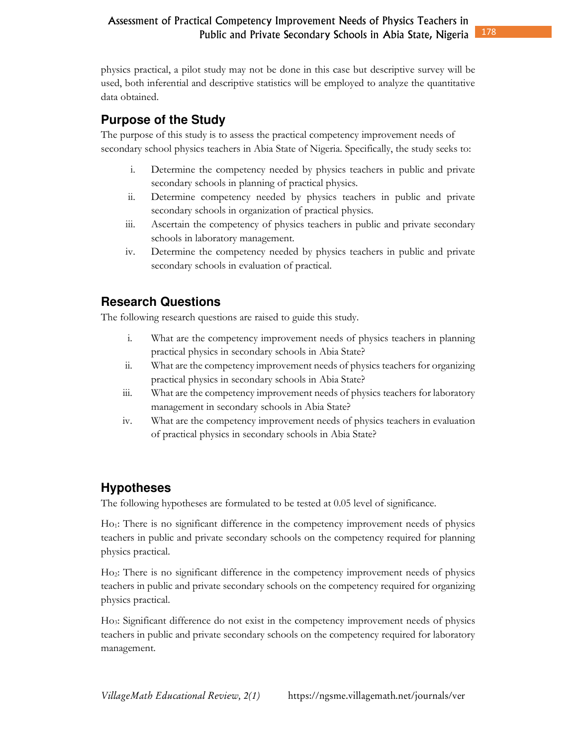physics practical, a pilot study may not be done in this case but descriptive survey will be used, both inferential and descriptive statistics will be employed to analyze the quantitative data obtained.

# **Purpose of the Study**

The purpose of this study is to assess the practical competency improvement needs of secondary school physics teachers in Abia State of Nigeria. Specifically, the study seeks to:

- i. Determine the competency needed by physics teachers in public and private secondary schools in planning of practical physics.
- ii. Determine competency needed by physics teachers in public and private secondary schools in organization of practical physics.
- iii. Ascertain the competency of physics teachers in public and private secondary schools in laboratory management.
- iv. Determine the competency needed by physics teachers in public and private secondary schools in evaluation of practical.

# **Research Questions**

The following research questions are raised to guide this study.

- i. What are the competency improvement needs of physics teachers in planning practical physics in secondary schools in Abia State?
- ii. What are the competency improvement needs of physics teachers for organizing practical physics in secondary schools in Abia State?
- iii. What are the competency improvement needs of physics teachers for laboratory management in secondary schools in Abia State?
- iv. What are the competency improvement needs of physics teachers in evaluation of practical physics in secondary schools in Abia State?

# **Hypotheses**

The following hypotheses are formulated to be tested at 0.05 level of significance.

Ho1: There is no significant difference in the competency improvement needs of physics teachers in public and private secondary schools on the competency required for planning physics practical.

Ho2: There is no significant difference in the competency improvement needs of physics teachers in public and private secondary schools on the competency required for organizing physics practical.

Ho3: Significant difference do not exist in the competency improvement needs of physics teachers in public and private secondary schools on the competency required for laboratory management.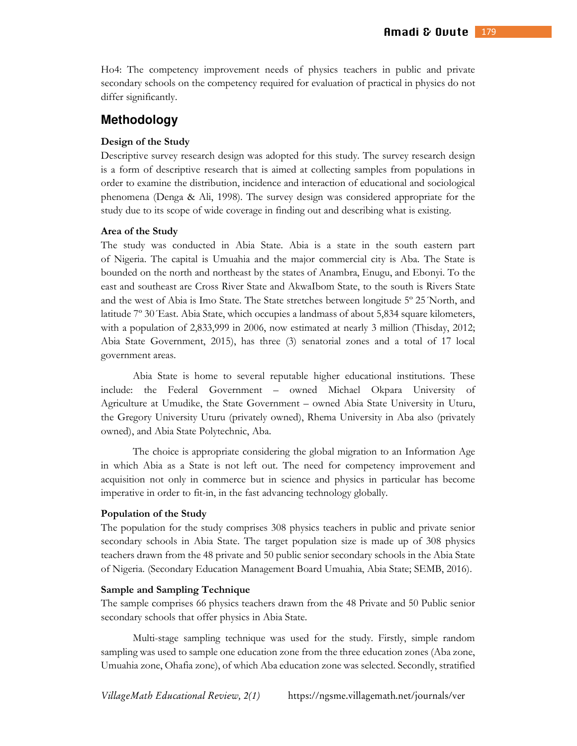Ho4: The competency improvement needs of physics teachers in public and private secondary schools on the competency required for evaluation of practical in physics do not differ significantly.

### **Methodology**

#### **Design of the Study**

Descriptive survey research design was adopted for this study. The survey research design is a form of descriptive research that is aimed at collecting samples from populations in order to examine the distribution, incidence and interaction of educational and sociological phenomena (Denga & Ali, 1998). The survey design was considered appropriate for the study due to its scope of wide coverage in finding out and describing what is existing.

#### **Area of the Study**

The study was conducted in Abia State. Abia is a state in the south eastern part of Nigeria. The capital is Umuahia and the major commercial city is Aba. The State is bounded on the north and northeast by the states of Anambra, Enugu, and Ebonyi. To the east and southeast are Cross River State and AkwaIbom State, to the south is Rivers State and the west of Abia is Imo State. The State stretches between longitude 5º 25´North, and latitude 7º 30´East. Abia State, which occupies a landmass of about 5,834 square kilometers, with a population of 2,833,999 in 2006, now estimated at nearly 3 million (Thisday, 2012; Abia State Government, 2015), has three (3) senatorial zones and a total of 17 local government areas.

Abia State is home to several reputable higher educational institutions. These include: the Federal Government – owned Michael Okpara University of Agriculture at Umudike, the State Government – owned Abia State University in Uturu, the Gregory University Uturu (privately owned), Rhema University in Aba also (privately owned), and Abia State Polytechnic, Aba.

The choice is appropriate considering the global migration to an Information Age in which Abia as a State is not left out. The need for competency improvement and acquisition not only in commerce but in science and physics in particular has become imperative in order to fit-in, in the fast advancing technology globally.

#### **Population of the Study**

The population for the study comprises 308 physics teachers in public and private senior secondary schools in Abia State. The target population size is made up of 308 physics teachers drawn from the 48 private and 50 public senior secondary schools in the Abia State of Nigeria. (Secondary Education Management Board Umuahia, Abia State; SEMB, 2016).

#### **Sample and Sampling Technique**

The sample comprises 66 physics teachers drawn from the 48 Private and 50 Public senior secondary schools that offer physics in Abia State.

Multi-stage sampling technique was used for the study. Firstly, simple random sampling was used to sample one education zone from the three education zones (Aba zone, Umuahia zone, Ohafia zone), of which Aba education zone was selected. Secondly, stratified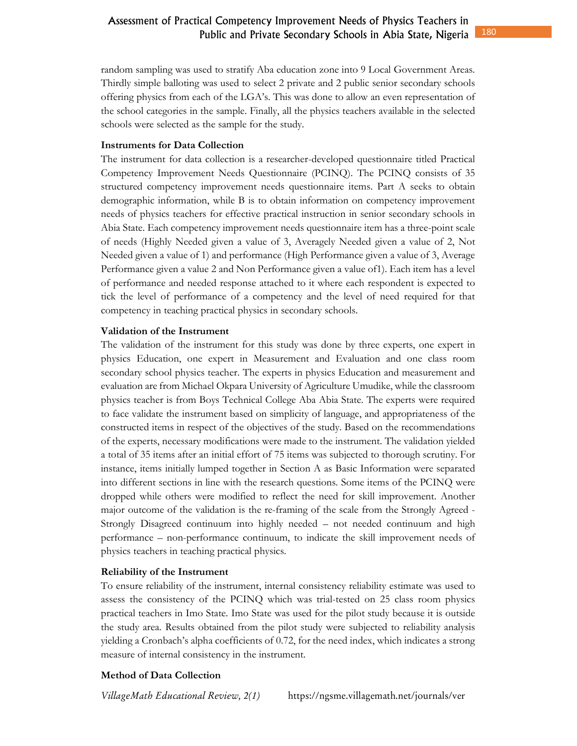random sampling was used to stratify Aba education zone into 9 Local Government Areas. Thirdly simple balloting was used to select 2 private and 2 public senior secondary schools offering physics from each of the LGA's. This was done to allow an even representation of the school categories in the sample. Finally, all the physics teachers available in the selected schools were selected as the sample for the study.

### **Instruments for Data Collection**

The instrument for data collection is a researcher-developed questionnaire titled Practical Competency Improvement Needs Questionnaire (PCINQ). The PCINQ consists of 35 structured competency improvement needs questionnaire items. Part A seeks to obtain demographic information, while B is to obtain information on competency improvement needs of physics teachers for effective practical instruction in senior secondary schools in Abia State. Each competency improvement needs questionnaire item has a three-point scale of needs (Highly Needed given a value of 3, Averagely Needed given a value of 2, Not Needed given a value of 1) and performance (High Performance given a value of 3, Average Performance given a value 2 and Non Performance given a value of1). Each item has a level of performance and needed response attached to it where each respondent is expected to tick the level of performance of a competency and the level of need required for that competency in teaching practical physics in secondary schools.

### **Validation of the Instrument**

The validation of the instrument for this study was done by three experts, one expert in physics Education, one expert in Measurement and Evaluation and one class room secondary school physics teacher. The experts in physics Education and measurement and evaluation are from Michael Okpara University of Agriculture Umudike, while the classroom physics teacher is from Boys Technical College Aba Abia State. The experts were required to face validate the instrument based on simplicity of language, and appropriateness of the constructed items in respect of the objectives of the study. Based on the recommendations of the experts, necessary modifications were made to the instrument. The validation yielded a total of 35 items after an initial effort of 75 items was subjected to thorough scrutiny. For instance, items initially lumped together in Section A as Basic Information were separated into different sections in line with the research questions. Some items of the PCINQ were dropped while others were modified to reflect the need for skill improvement. Another major outcome of the validation is the re-framing of the scale from the Strongly Agreed - Strongly Disagreed continuum into highly needed – not needed continuum and high performance – non-performance continuum, to indicate the skill improvement needs of physics teachers in teaching practical physics.

### **Reliability of the Instrument**

To ensure reliability of the instrument, internal consistency reliability estimate was used to assess the consistency of the PCINQ which was trial-tested on 25 class room physics practical teachers in Imo State. Imo State was used for the pilot study because it is outside the study area. Results obtained from the pilot study were subjected to reliability analysis yielding a Cronbach's alpha coefficients of 0.72, for the need index, which indicates a strong measure of internal consistency in the instrument.

# **Method of Data Collection**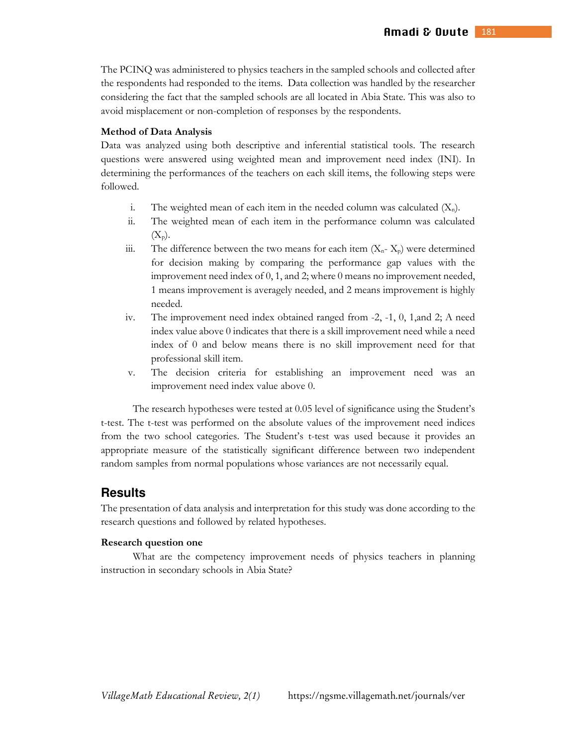The PCINQ was administered to physics teachers in the sampled schools and collected after the respondents had responded to the items. Data collection was handled by the researcher considering the fact that the sampled schools are all located in Abia State. This was also to avoid misplacement or non-completion of responses by the respondents.

#### **Method of Data Analysis**

Data was analyzed using both descriptive and inferential statistical tools. The research questions were answered using weighted mean and improvement need index (INI). In determining the performances of the teachers on each skill items, the following steps were followed.

- i. The weighted mean of each item in the needed column was calculated  $(X_n)$ .
- ii. The weighted mean of each item in the performance column was calculated  $(X_p)$ .
- iii. The difference between the two means for each item  $(X_n X_p)$  were determined for decision making by comparing the performance gap values with the improvement need index of 0, 1, and 2; where 0 means no improvement needed, 1 means improvement is averagely needed, and 2 means improvement is highly needed.
- iv. The improvement need index obtained ranged from -2, -1, 0, 1,and 2; A need index value above 0 indicates that there is a skill improvement need while a need index of 0 and below means there is no skill improvement need for that professional skill item.
- v. The decision criteria for establishing an improvement need was an improvement need index value above 0.

The research hypotheses were tested at 0.05 level of significance using the Student's t-test. The t-test was performed on the absolute values of the improvement need indices from the two school categories. The Student's t-test was used because it provides an appropriate measure of the statistically significant difference between two independent random samples from normal populations whose variances are not necessarily equal.

# **Results**

The presentation of data analysis and interpretation for this study was done according to the research questions and followed by related hypotheses.

#### **Research question one**

What are the competency improvement needs of physics teachers in planning instruction in secondary schools in Abia State?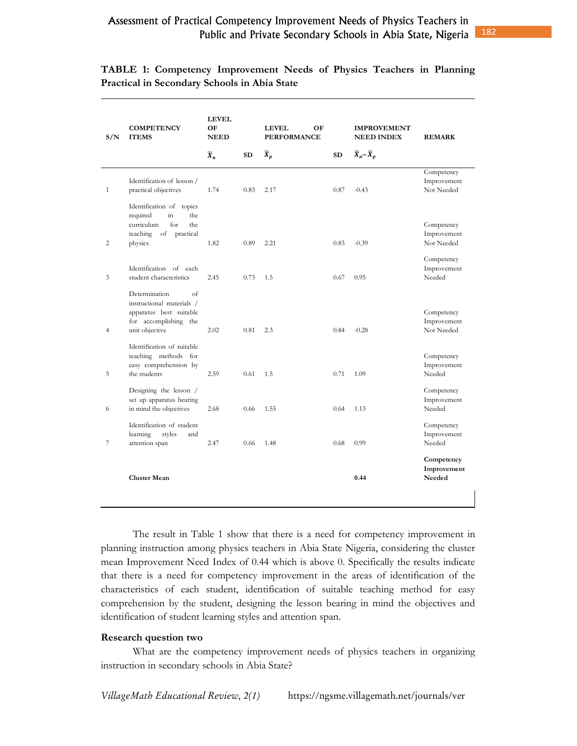|  | TABLE 1: Competency Improvement Needs of Physics Teachers in Planning |  |  |  |
|--|-----------------------------------------------------------------------|--|--|--|
|  | <b>Practical in Secondary Schools in Abia State</b>                   |  |  |  |

| S/N            | <b>COMPETENCY</b><br><b>ITEMS</b>                                                                                      | <b>LEVEL</b><br>OF<br><b>NEED</b> |      | <b>LEVEL</b><br>OF<br><b>PERFORMANCE</b> |      | <b>IMPROVEMENT</b><br><b>NEED INDEX</b> | <b>REMARK</b>                           |
|----------------|------------------------------------------------------------------------------------------------------------------------|-----------------------------------|------|------------------------------------------|------|-----------------------------------------|-----------------------------------------|
|                |                                                                                                                        | $\overline{X}_n$                  | SD   | $\overline{X}_p$                         | SD   | $\overline{X}_n - \overline{X}_p$       |                                         |
| $\mathbf{1}$   | Identification of lesson /<br>practical objectives<br>Identification of topics                                         | 1.74                              | 0.83 | 2.17                                     | 0.87 | $-0.43$                                 | Competency<br>Improvement<br>Not Needed |
| 2              | in<br>required<br>the<br>curriculum<br>for<br>the<br>teaching<br>of<br>practical<br>physics                            | 1.82                              | 0.89 | 2.21                                     | 0.83 | $-0.39$                                 | Competency<br>Improvement<br>Not Needed |
| 3              | Identification of each<br>student characteristics                                                                      | 2.45                              | 0.73 | 1.5                                      | 0.67 | 0.95                                    | Competency<br>Improvement<br>Needed     |
| $\overline{4}$ | Determination<br>of<br>instructional materials /<br>apparatus best suitable<br>for accomplishing the<br>unit objective | 2.02                              | 0.81 | 2.3                                      | 0.84 | $-0.28$                                 | Competency<br>Improvement<br>Not Needed |
| 5              | Identification of suitable<br>teaching methods for<br>easy comprehension by<br>the students                            | 2.59                              | 0.61 | 1.5                                      | 0.71 | 1.09                                    | Competency<br>Improvement<br>Needed     |
| 6              | Designing the lesson /<br>set up apparatus bearing<br>in mind the objectives                                           | 2.68                              | 0.66 | 1.55                                     | 0.64 | 1.13                                    | Competency<br>Improvement<br>Needed     |
| 7              | Identification of student<br>learning<br>styles<br>and<br>attention span                                               | 2.47                              | 0.66 | 1.48                                     | 0.68 | 0.99                                    | Competency<br>Improvement<br>Needed     |
|                | <b>Cluster Mean</b>                                                                                                    |                                   |      |                                          |      | 0.44                                    | Competency<br>Improvement<br>Needed     |
|                |                                                                                                                        |                                   |      |                                          |      |                                         |                                         |

The result in Table 1 show that there is a need for competency improvement in planning instruction among physics teachers in Abia State Nigeria, considering the cluster mean Improvement Need Index of 0.44 which is above 0. Specifically the results indicate that there is a need for competency improvement in the areas of identification of the characteristics of each student, identification of suitable teaching method for easy comprehension by the student, designing the lesson bearing in mind the objectives and identification of student learning styles and attention span.

#### **Research question two**

What are the competency improvement needs of physics teachers in organizing instruction in secondary schools in Abia State?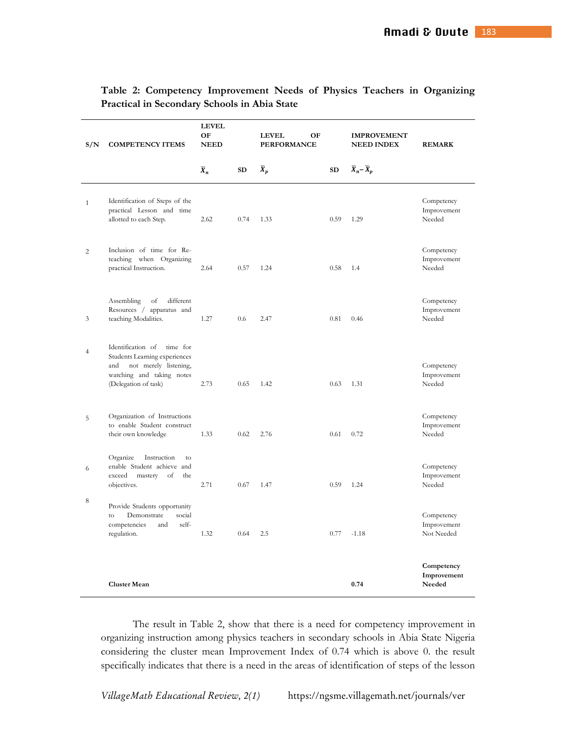| Table 2: Competency Improvement Needs of Physics Teachers in Organizing |  |  |  |
|-------------------------------------------------------------------------|--|--|--|
| <b>Practical in Secondary Schools in Abia State</b>                     |  |  |  |

| S/N            | <b>COMPETENCY ITEMS</b>                                                                                                                             | <b>LEVEL</b><br>OF<br><b>NEED</b> |      | OF<br><b>LEVEL</b><br><b>PERFORMANCE</b> |           | <b>IMPROVEMENT</b><br><b>NEED INDEX</b> | <b>REMARK</b>                           |
|----------------|-----------------------------------------------------------------------------------------------------------------------------------------------------|-----------------------------------|------|------------------------------------------|-----------|-----------------------------------------|-----------------------------------------|
|                |                                                                                                                                                     | $\overline{X}_n$                  | SD   | $\overline{X}_p$                         | <b>SD</b> | $\overline{X}_n - \overline{X}_p$       |                                         |
| $\mathbf{1}$   | Identification of Steps of the<br>practical Lesson and time<br>allotted to each Step.                                                               | 2.62                              | 0.74 | 1.33                                     | 0.59      | 1.29                                    | Competency<br>Improvement<br>Needed     |
| $\overline{c}$ | Inclusion of time for Re-<br>teaching when Organizing<br>practical Instruction.                                                                     | 2.64                              | 0.57 | 1.24                                     | 0.58      | 1.4                                     | Competency<br>Improvement<br>Needed     |
| 3              | different<br>Assembling<br>of<br>Resources / apparatus and<br>teaching Modalities.                                                                  | 1.27                              | 0.6  | 2.47                                     | 0.81      | 0.46                                    | Competency<br>Improvement<br>Needed     |
| $\overline{4}$ | Identification of<br>time for<br>Students Learning experiences<br>and<br>not merely listening,<br>watching and taking notes<br>(Delegation of task) | 2.73                              | 0.65 | 1.42                                     | 0.63      | 1.31                                    | Competency<br>Improvement<br>Needed     |
| 5              | Organization of Instructions<br>to enable Student construct<br>their own knowledge                                                                  | 1.33                              | 0.62 | 2.76                                     | 0.61      | 0.72                                    | Competency<br>Improvement<br>Needed     |
| 6              | Organize<br>Instruction<br>to<br>enable Student achieve and<br>exceed<br>the<br>mastery<br>of<br>objectives.                                        | 2.71                              | 0.67 | 1.47                                     | 0.59      | 1.24                                    | Competency<br>Improvement<br>Needed     |
| 8              | Provide Students opportunity<br>social<br>to<br>Demonstrate<br>competencies<br>and<br>self-<br>regulation.                                          | 1.32                              | 0.64 | 2.5                                      | 0.77      | $-1.18$                                 | Competency<br>Improvement<br>Not Needed |
|                | <b>Cluster Mean</b>                                                                                                                                 |                                   |      |                                          |           | 0.74                                    | Competency<br>Improvement<br>Needed     |

The result in Table 2, show that there is a need for competency improvement in organizing instruction among physics teachers in secondary schools in Abia State Nigeria considering the cluster mean Improvement Index of 0.74 which is above 0. the result specifically indicates that there is a need in the areas of identification of steps of the lesson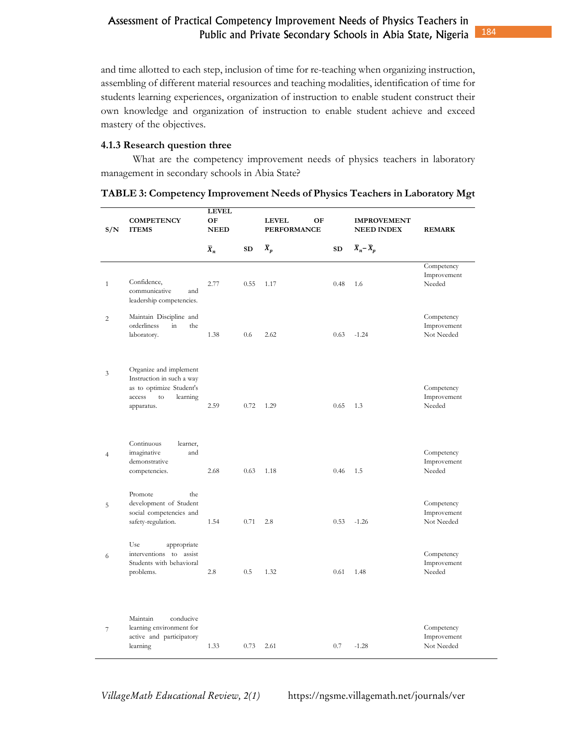and time allotted to each step, inclusion of time for re-teaching when organizing instruction, assembling of different material resources and teaching modalities, identification of time for students learning experiences, organization of instruction to enable student construct their own knowledge and organization of instruction to enable student achieve and exceed mastery of the objectives.

### **4.1.3 Research question three**

What are the competency improvement needs of physics teachers in laboratory management in secondary schools in Abia State?

| S/N            | <b>COMPETENCY</b><br><b>ITEMS</b>                                                                                                                 | <b>LEVEL</b><br>OF<br><b>NEED</b> |           | <b>LEVEL</b><br>OF<br><b>PERFORMANCE</b> |      | <b>IMPROVEMENT</b><br><b>NEED INDEX</b> | <b>REMARK</b>                           |
|----------------|---------------------------------------------------------------------------------------------------------------------------------------------------|-----------------------------------|-----------|------------------------------------------|------|-----------------------------------------|-----------------------------------------|
|                |                                                                                                                                                   | $\overline{X}_n$                  | <b>SD</b> | $\overline{X}_p$                         | SD   | $\overline{X}_n - \overline{X}_p$       |                                         |
| $\mathbf{1}$   | Confidence,<br>communicative<br>and<br>leadership competencies.                                                                                   | 2.77                              | 0.55      | 1.17                                     | 0.48 | 1.6                                     | Competency<br>Improvement<br>Needed     |
| $\overline{c}$ | Maintain Discipline and<br>orderliness<br>$\operatorname{in}$<br>the<br>laboratory.                                                               | 1.38                              | 0.6       | 2.62                                     | 0.63 | $-1.24$                                 | Competency<br>Improvement<br>Not Needed |
| 3              | Organize and implement<br>Instruction in such a way<br>as to optimize Student's<br>access<br>$\mathop{\rm to}\nolimits$<br>learning<br>apparatus. | 2.59                              | 0.72      | 1.29                                     | 0.65 | 1.3                                     | Competency<br>Improvement<br>Needed     |
| $\overline{4}$ | Continuous<br>learner,<br>and<br>imaginative<br>demonstrative<br>competencies.                                                                    | 2.68                              | 0.63      | 1.18                                     | 0.46 | 1.5                                     | Competency<br>Improvement<br>Needed     |
| 5              | Promote<br>the<br>development of Student<br>social competencies and<br>safety-regulation.                                                         | 1.54                              | 0.71      | 2.8                                      | 0.53 | $-1.26$                                 | Competency<br>Improvement<br>Not Needed |
| 6              | Use<br>appropriate<br>interventions to assist<br>Students with behavioral<br>problems.                                                            | 2.8                               | 0.5       | 1.32                                     | 0.61 | 1.48                                    | Competency<br>Improvement<br>Needed     |
| $\overline{7}$ | Maintain<br>conducive<br>learning environment for<br>active and participatory<br>learning                                                         | 1.33                              | 0.73      | 2.61                                     | 0.7  | $-1.28$                                 | Competency<br>Improvement<br>Not Needed |

**TABLE 3: Competency Improvement Needs of Physics Teachers in Laboratory Mgt**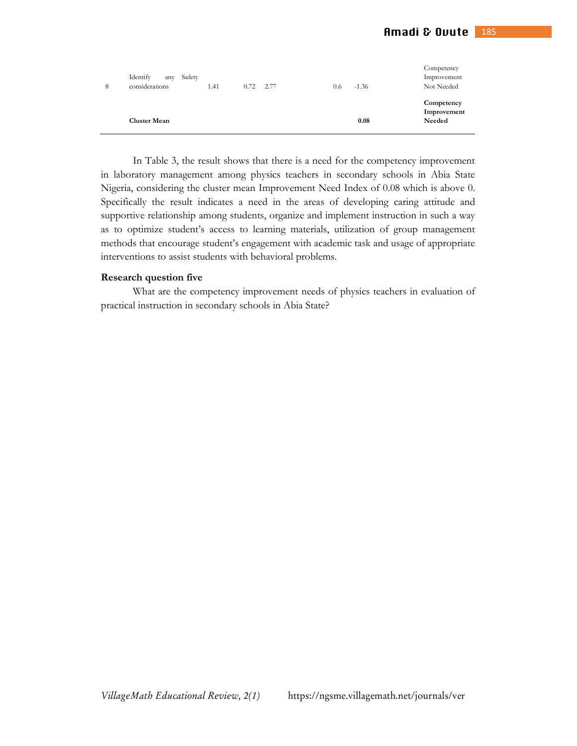|   | <b>Cluster Mean</b>                         |      |             |     | 0.08    | Competency<br>Improvement<br><b>Needed</b> |
|---|---------------------------------------------|------|-------------|-----|---------|--------------------------------------------|
| 8 | Identify<br>Safety<br>any<br>considerations | 1.41 | $0.72$ 2.77 | 0.6 | $-1.36$ | Competency<br>Improvement<br>Not Needed    |

In Table 3, the result shows that there is a need for the competency improvement in laboratory management among physics teachers in secondary schools in Abia State Nigeria, considering the cluster mean Improvement Need Index of 0.08 which is above 0. Specifically the result indicates a need in the areas of developing caring attitude and supportive relationship among students, organize and implement instruction in such a way as to optimize student's access to learning materials, utilization of group management methods that encourage student's engagement with academic task and usage of appropriate interventions to assist students with behavioral problems.

#### **Research question five**

What are the competency improvement needs of physics teachers in evaluation of practical instruction in secondary schools in Abia State?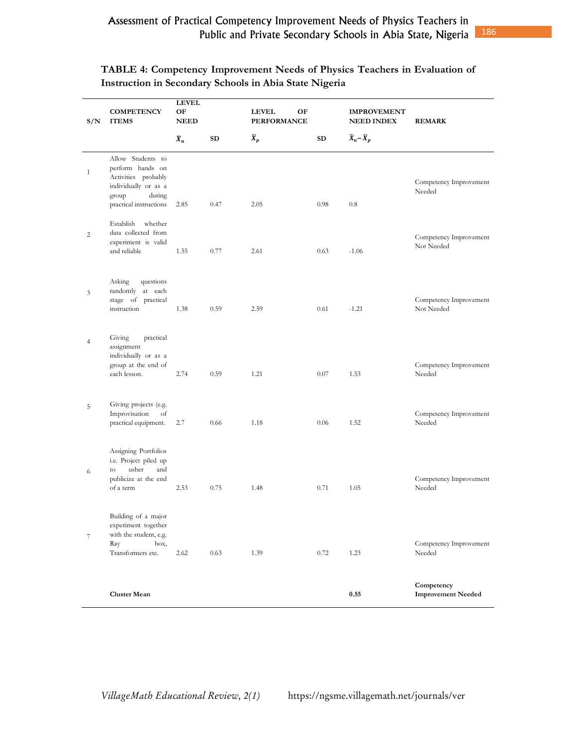| S/N            | <b>COMPETENCY</b><br><b>ITEMS</b>                                                                                                 | <b>LEVEL</b><br>OF<br><b>NEED</b> |           | <b>LEVEL</b><br>OF<br><b>PERFORMANCE</b> |      | <b>IMPROVEMENT</b><br><b>NEED INDEX</b> | <b>REMARK</b>                           |
|----------------|-----------------------------------------------------------------------------------------------------------------------------------|-----------------------------------|-----------|------------------------------------------|------|-----------------------------------------|-----------------------------------------|
|                |                                                                                                                                   | $\overline{X}_n$                  | <b>SD</b> | $\overline{X}_p$                         | SD   | $\overline{X}_n - \overline{X}_p$       |                                         |
| $\mathbf{1}$   | Allow Students to<br>perform hands on<br>Activities probably<br>individually or as a<br>during<br>group<br>practical instructions | 2.85                              | 0.47      | 2.05                                     | 0.98 | $0.8\,$                                 | Competency Improvement<br>Needed        |
| 2              | Establish<br>whether<br>data collected from<br>experiment is valid<br>and reliable                                                | 1.55                              | 0.77      | 2.61                                     | 0.63 | $-1.06$                                 | Competency Improvement<br>Not Needed    |
| 3              | Asking<br>questions<br>randomly at each<br>stage of practical<br>instruction                                                      | 1.38                              | 0.59      | 2.59                                     | 0.61 | $-1.21$                                 | Competency Improvement<br>Not Needed    |
| $\overline{4}$ | Giving<br>practical<br>assignment<br>individually or as a<br>group at the end of<br>each lesson.                                  | 2.74                              | 0.59      | 1.21                                     | 0.07 | 1.53                                    | Competency Improvement<br>Needed        |
| 5              | Giving projects (e.g.<br>Improvisation<br>of<br>practical equipment.                                                              | 2.7                               | 0.66      | 1.18                                     | 0.06 | 1.52                                    | Competency Improvement<br>Needed        |
| 6              | Assigning Portfolios<br>i.e. Project piled up<br>usher<br>and<br>to<br>publicize at the end<br>of a term                          | 2.53                              | 0.75      | 1.48                                     | 0.71 | 1.05                                    | Competency Improvement<br>Needed        |
| $\tau$         | Building of a major<br>experiment together<br>with the student, e.g.<br>box,<br>Ray<br>Transformers etc.                          | 2.62                              | 0.63      | 1.39                                     | 0.72 | 1.23                                    | Competency Improvement<br>Needed        |
|                | <b>Cluster Mean</b>                                                                                                               |                                   |           |                                          |      | 0.55                                    | Competency<br><b>Improvement Needed</b> |

# **TABLE 4: Competency Improvement Needs of Physics Teachers in Evaluation of Instruction in Secondary Schools in Abia State Nigeria**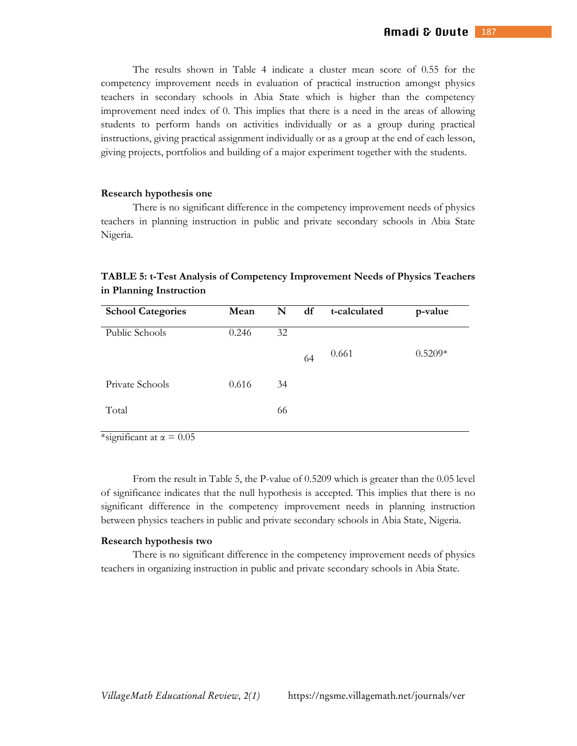The results shown in Table 4 indicate a cluster mean score of 0.55 for the competency improvement needs in evaluation of practical instruction amongst physics teachers in secondary schools in Abia State which is higher than the competency improvement need index of 0. This implies that there is a need in the areas of allowing students to perform hands on activities individually or as a group during practical instructions, giving practical assignment individually or as a group at the end of each lesson, giving projects, portfolios and building of a major experiment together with the students.

#### **Research hypothesis one**

There is no significant difference in the competency improvement needs of physics teachers in planning instruction in public and private secondary schools in Abia State Nigeria.

| in Planning Instruction                                                      |  |  |
|------------------------------------------------------------------------------|--|--|
| TABLE 5: t-Test Analysis of Competency Improvement Needs of Physics Teachers |  |  |

| <b>School Categories</b> | Mean  | N  | df | t-calculated | p-value   |
|--------------------------|-------|----|----|--------------|-----------|
| Public Schools           | 0.246 | 32 |    |              |           |
|                          |       |    | 64 | 0.661        | $0.5209*$ |
| Private Schools          | 0.616 | 34 |    |              |           |
| Total                    |       | 66 |    |              |           |
|                          |       |    |    |              |           |

\*significant at  $\alpha = 0.05$ 

From the result in Table 5, the P-value of 0.5209 which is greater than the 0.05 level of significance indicates that the null hypothesis is accepted. This implies that there is no significant difference in the competency improvement needs in planning instruction between physics teachers in public and private secondary schools in Abia State, Nigeria.

#### **Research hypothesis two**

There is no significant difference in the competency improvement needs of physics teachers in organizing instruction in public and private secondary schools in Abia State.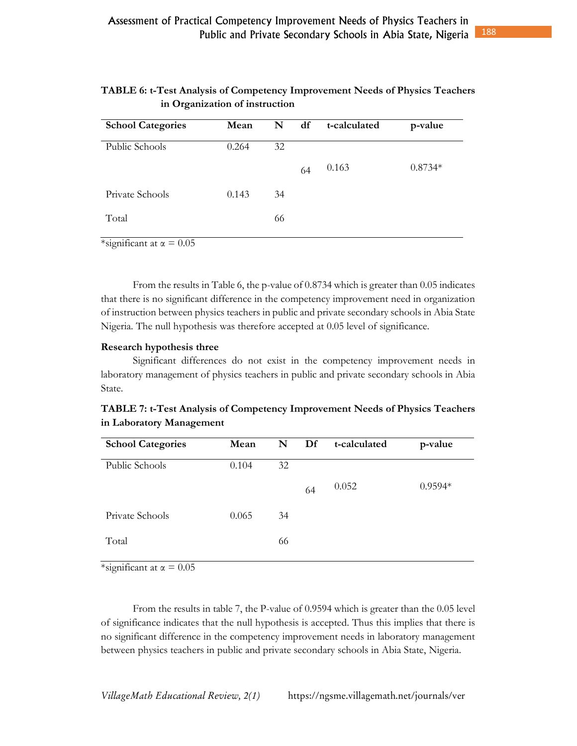# **TABLE 6: t-Test Analysis of Competency Improvement Needs of Physics Teachers in Organization of instruction**

| <b>School Categories</b> | Mean  | N  | df | t-calculated | p-value   |
|--------------------------|-------|----|----|--------------|-----------|
| Public Schools           | 0.264 | 32 |    |              |           |
|                          |       |    | 64 | 0.163        | $0.8734*$ |
| Private Schools          | 0.143 | 34 |    |              |           |
| Total                    |       | 66 |    |              |           |

\*significant at  $\alpha = 0.05$ 

From the results in Table 6, the p-value of 0.8734 which is greater than 0.05 indicates that there is no significant difference in the competency improvement need in organization of instruction between physics teachers in public and private secondary schools in Abia State Nigeria. The null hypothesis was therefore accepted at 0.05 level of significance.

### **Research hypothesis three**

Significant differences do not exist in the competency improvement needs in laboratory management of physics teachers in public and private secondary schools in Abia State.

| Mean  | N  | Df | t-calculated | p-value   |
|-------|----|----|--------------|-----------|
| 0.104 | 32 |    |              |           |
|       |    | 64 | 0.052        | $0.9594*$ |
| 0.065 | 34 |    |              |           |
|       | 66 |    |              |           |
|       |    |    |              |           |

**TABLE 7: t-Test Analysis of Competency Improvement Needs of Physics Teachers in Laboratory Management** 

\*significant at  $\alpha = 0.05$ 

From the results in table 7, the P-value of 0.9594 which is greater than the 0.05 level of significance indicates that the null hypothesis is accepted. Thus this implies that there is no significant difference in the competency improvement needs in laboratory management between physics teachers in public and private secondary schools in Abia State, Nigeria.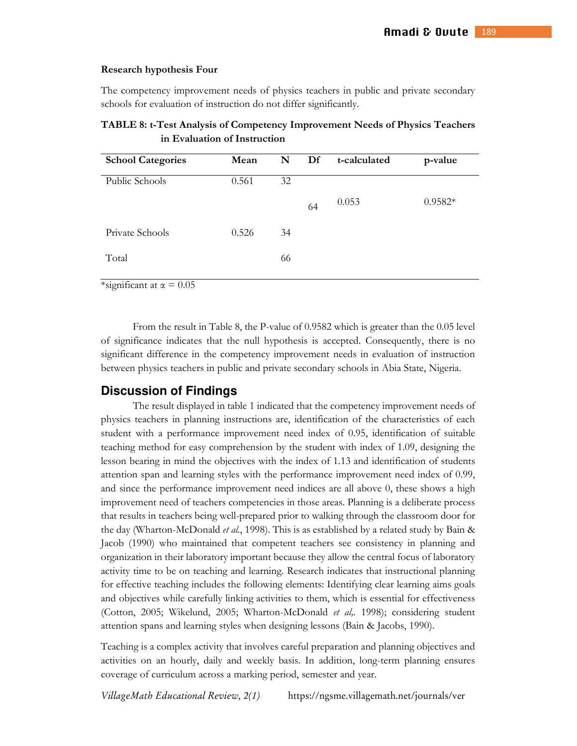#### **Research hypothesis Four**

The competency improvement needs of physics teachers in public and private secondary schools for evaluation of instruction do not differ significantly.

| <b>School Categories</b> | Mean  | N  | Df | t-calculated | p-value   |
|--------------------------|-------|----|----|--------------|-----------|
| Public Schools           | 0.561 | 32 |    |              |           |
|                          |       |    | 64 | 0.053        | $0.9582*$ |
| Private Schools          | 0.526 | 34 |    |              |           |
| Total                    |       | 66 |    |              |           |

**TABLE 8: t-Test Analysis of Competency Improvement Needs of Physics Teachers in Evaluation of Instruction** 

\*significant at  $\alpha = 0.05$ 

From the result in Table 8, the P-value of 0.9582 which is greater than the 0.05 level of significance indicates that the null hypothesis is accepted. Consequently, there is no significant difference in the competency improvement needs in evaluation of instruction between physics teachers in public and private secondary schools in Abia State, Nigeria.

# **Discussion of Findings**

The result displayed in table 1 indicated that the competency improvement needs of physics teachers in planning instructions are, identification of the characteristics of each student with a performance improvement need index of 0.95, identification of suitable teaching method for easy comprehension by the student with index of 1.09, designing the lesson bearing in mind the objectives with the index of 1.13 and identification of students attention span and learning styles with the performance improvement need index of 0.99, and since the performance improvement need indices are all above 0, these shows a high improvement need of teachers competencies in those areas. Planning is a deliberate process that results in teachers being well-prepared prior to walking through the classroom door for the day (Wharton-McDonald *et al.*, 1998). This is as established by a related study by Bain & Jacob (1990) who maintained that competent teachers see consistency in planning and organization in their laboratory important because they allow the central focus of laboratory activity time to be on teaching and learning. Research indicates that instructional planning for effective teaching includes the following elements: Identifying clear learning aims goals and objectives while carefully linking activities to them, which is essential for effectiveness (Cotton, 2005; Wikelund, 2005; Wharton-McDonald *et al,.* 1998); considering student attention spans and learning styles when designing lessons (Bain & Jacobs, 1990).

Teaching is a complex activity that involves careful preparation and planning objectives and activities on an hourly, daily and weekly basis. In addition, long-term planning ensures coverage of curriculum across a marking period, semester and year.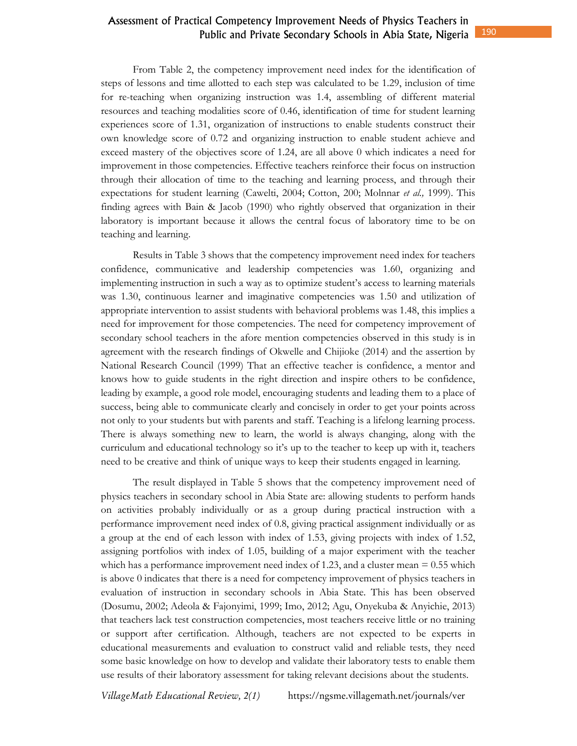From Table 2, the competency improvement need index for the identification of steps of lessons and time allotted to each step was calculated to be 1.29, inclusion of time for re-teaching when organizing instruction was 1.4, assembling of different material resources and teaching modalities score of 0.46, identification of time for student learning experiences score of 1.31, organization of instructions to enable students construct their own knowledge score of 0.72 and organizing instruction to enable student achieve and exceed mastery of the objectives score of 1.24, are all above 0 which indicates a need for improvement in those competencies. Effective teachers reinforce their focus on instruction through their allocation of time to the teaching and learning process, and through their expectations for student learning (Cawelti, 2004; Cotton, 200; Molnnar *et al.,* 1999). This finding agrees with Bain & Jacob (1990) who rightly observed that organization in their laboratory is important because it allows the central focus of laboratory time to be on teaching and learning.

Results in Table 3 shows that the competency improvement need index for teachers confidence, communicative and leadership competencies was 1.60, organizing and implementing instruction in such a way as to optimize student's access to learning materials was 1.30, continuous learner and imaginative competencies was 1.50 and utilization of appropriate intervention to assist students with behavioral problems was 1.48, this implies a need for improvement for those competencies. The need for competency improvement of secondary school teachers in the afore mention competencies observed in this study is in agreement with the research findings of Okwelle and Chijioke (2014) and the assertion by National Research Council (1999) That an effective teacher is confidence, a mentor and knows how to guide students in the right direction and inspire others to be confidence, leading by example, a good role model, encouraging students and leading them to a place of success, being able to communicate clearly and concisely in order to get your points across not only to your students but with parents and staff. Teaching is a lifelong learning process. There is always something new to learn, the world is always changing, along with the curriculum and educational technology so it's up to the teacher to keep up with it, teachers need to be creative and think of unique ways to keep their students engaged in learning.

The result displayed in Table 5 shows that the competency improvement need of physics teachers in secondary school in Abia State are: allowing students to perform hands on activities probably individually or as a group during practical instruction with a performance improvement need index of 0.8, giving practical assignment individually or as a group at the end of each lesson with index of 1.53, giving projects with index of 1.52, assigning portfolios with index of 1.05, building of a major experiment with the teacher which has a performance improvement need index of 1.23, and a cluster mean = 0.55 which is above 0 indicates that there is a need for competency improvement of physics teachers in evaluation of instruction in secondary schools in Abia State. This has been observed (Dosumu, 2002; Adeola & Fajonyimi, 1999; Imo, 2012; Agu, Onyekuba & Anyichie, 2013) that teachers lack test construction competencies, most teachers receive little or no training or support after certification. Although, teachers are not expected to be experts in educational measurements and evaluation to construct valid and reliable tests, they need some basic knowledge on how to develop and validate their laboratory tests to enable them use results of their laboratory assessment for taking relevant decisions about the students.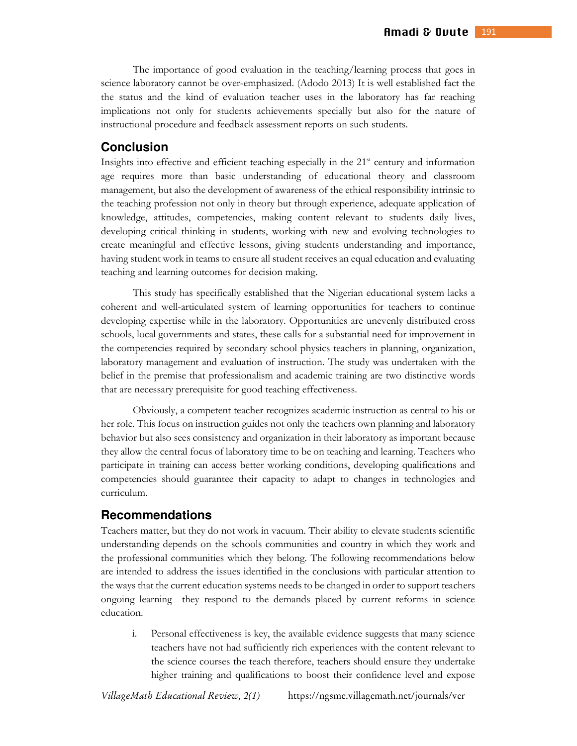The importance of good evaluation in the teaching/learning process that goes in science laboratory cannot be over-emphasized. (Adodo 2013) It is well established fact the the status and the kind of evaluation teacher uses in the laboratory has far reaching implications not only for students achievements specially but also for the nature of instructional procedure and feedback assessment reports on such students.

# **Conclusion**

Insights into effective and efficient teaching especially in the 21<sup>st</sup> century and information age requires more than basic understanding of educational theory and classroom management, but also the development of awareness of the ethical responsibility intrinsic to the teaching profession not only in theory but through experience, adequate application of knowledge, attitudes, competencies, making content relevant to students daily lives, developing critical thinking in students, working with new and evolving technologies to create meaningful and effective lessons, giving students understanding and importance, having student work in teams to ensure all student receives an equal education and evaluating teaching and learning outcomes for decision making.

This study has specifically established that the Nigerian educational system lacks a coherent and well-articulated system of learning opportunities for teachers to continue developing expertise while in the laboratory. Opportunities are unevenly distributed cross schools, local governments and states, these calls for a substantial need for improvement in the competencies required by secondary school physics teachers in planning, organization, laboratory management and evaluation of instruction. The study was undertaken with the belief in the premise that professionalism and academic training are two distinctive words that are necessary prerequisite for good teaching effectiveness.

Obviously, a competent teacher recognizes academic instruction as central to his or her role. This focus on instruction guides not only the teachers own planning and laboratory behavior but also sees consistency and organization in their laboratory as important because they allow the central focus of laboratory time to be on teaching and learning. Teachers who participate in training can access better working conditions, developing qualifications and competencies should guarantee their capacity to adapt to changes in technologies and curriculum.

### **Recommendations**

Teachers matter, but they do not work in vacuum. Their ability to elevate students scientific understanding depends on the schools communities and country in which they work and the professional communities which they belong. The following recommendations below are intended to address the issues identified in the conclusions with particular attention to the ways that the current education systems needs to be changed in order to support teachers ongoing learning they respond to the demands placed by current reforms in science education.

i. Personal effectiveness is key, the available evidence suggests that many science teachers have not had sufficiently rich experiences with the content relevant to the science courses the teach therefore, teachers should ensure they undertake higher training and qualifications to boost their confidence level and expose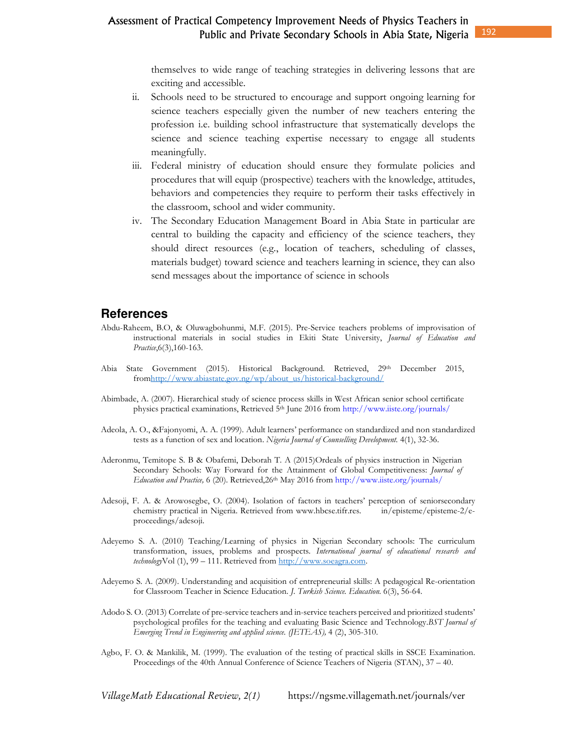themselves to wide range of teaching strategies in delivering lessons that are exciting and accessible.

- ii. Schools need to be structured to encourage and support ongoing learning for science teachers especially given the number of new teachers entering the profession i.e. building school infrastructure that systematically develops the science and science teaching expertise necessary to engage all students meaningfully.
- iii. Federal ministry of education should ensure they formulate policies and procedures that will equip (prospective) teachers with the knowledge, attitudes, behaviors and competencies they require to perform their tasks effectively in the classroom, school and wider community.
- iv. The Secondary Education Management Board in Abia State in particular are central to building the capacity and efficiency of the science teachers, they should direct resources (e.g., location of teachers, scheduling of classes, materials budget) toward science and teachers learning in science, they can also send messages about the importance of science in schools

### **References**

- Abdu-Raheem, B.O, & Oluwagbohunmi, M.F. (2015). Pre-Service teachers problems of improvisation of instructional materials in social studies in Ekiti State University, *Journal of Education and Practice*,6(3),160-163.
- Abia State Government (2015). Historical Background. Retrieved, 29th December 2015, fromhttp://www.abiastate.gov.ng/wp/about\_us/historical-background/
- Abimbade, A. (2007). Hierarchical study of science process skills in West African senior school certificate physics practical examinations, Retrieved 5<sup>th</sup> June 2016 from http://www.iiste.org/journals/
- Adeola, A. O., &Fajonyomi, A. A. (1999). Adult learners' performance on standardized and non standardized tests as a function of sex and location. *Nigeria Journal of Counselling Development.* 4(1), 32-36.
- Aderonmu, Temitope S. B & Obafemi, Deborah T. A (2015)Ordeals of physics instruction in Nigerian Secondary Schools: Way Forward for the Attainment of Global Competitiveness: *Journal of Education and Practice,* 6 (20). Retrieved,26th May 2016 from http://www.iiste.org/journals/
- Adesoji, F. A. & Arowosegbe, O. (2004). Isolation of factors in teachers' perception of seniorsecondary chemistry practical in Nigeria. Retrieved from www.hbcse.tifr.res. in/episteme/episteme-2/eproceedings/adesoji.
- Adeyemo S. A. (2010) Teaching/Learning of physics in Nigerian Secondary schools: The curriculum transformation, issues, problems and prospects. *International journal of educational research and technology*Vol (1), 99 – 111. Retrieved from http://www.soeagra.com.
- Adeyemo S. A. (2009). Understanding and acquisition of entrepreneurial skills: A pedagogical Re-orientation for Classroom Teacher in Science Education. *J. Turkish Science. Education.* 6(3), 56-64.
- Adodo S. O. (2013) Correlate of pre-service teachers and in-service teachers perceived and prioritized students' psychological profiles for the teaching and evaluating Basic Science and Technology.*BST Journal of Emerging Trend in Engineering and applied science. (JETEAS),* 4 (2), 305-310.
- Agbo, F. O. & Mankilik, M. (1999). The evaluation of the testing of practical skills in SSCE Examination. Proceedings of the 40th Annual Conference of Science Teachers of Nigeria (STAN), 37 – 40.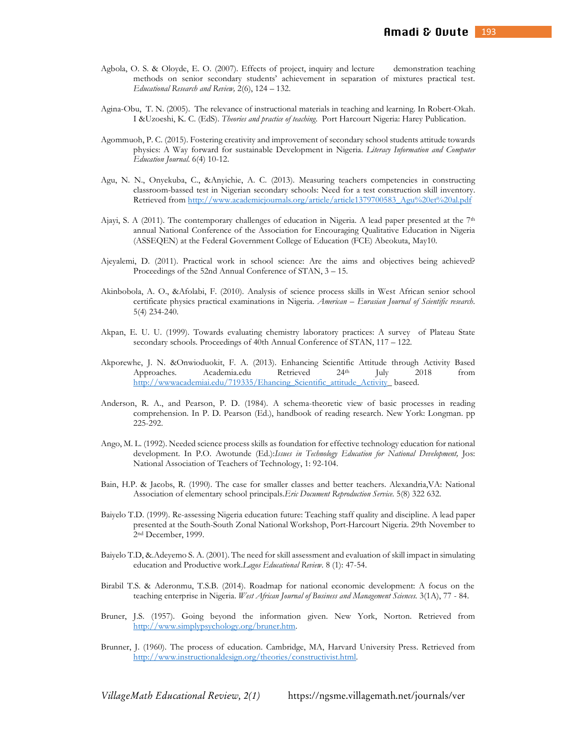- Agbola, O. S. & Oloyde, E. O. (2007). Effects of project, inquiry and lecture demonstration teaching methods on senior secondary students' achievement in separation of mixtures practical test. *Educational Research and Review,* 2(6), 124 – 132.
- Agina-Obu, T. N. (2005). The relevance of instructional materials in teaching and learning. In Robert-Okah. I &Uzoeshi, K. C. (EdS). *Theories and practice of teaching*. Port Harcourt Nigeria: Harey Publication.
- Agommuoh, P. C. (2015). Fostering creativity and improvement of secondary school students attitude towards physics: A Way forward for sustainable Development in Nigeria. *Literacy Information and Computer Education Journal*. 6(4) 10-12.
- Agu, N. N., Onyekuba, C., &Anyichie, A. C. (2013). Measuring teachers competencies in constructing classroom-bassed test in Nigerian secondary schools: Need for a test construction skill inventory. Retrieved from http://www.academicjournals.org/article/article1379700583\_Agu%20et%20al.pdf
- Ajayi, S. A (2011). The contemporary challenges of education in Nigeria. A lead paper presented at the  $7<sup>th</sup>$ annual National Conference of the Association for Encouraging Qualitative Education in Nigeria (ASSEQEN) at the Federal Government College of Education (FCE) Abeokuta, May10.
- Ajeyalemi, D. (2011). Practical work in school science: Are the aims and objectives being achieved? Proceedings of the 52nd Annual Conference of STAN, 3 – 15.
- Akinbobola, A. O., &Afolabi, F. (2010). Analysis of science process skills in West African senior school certificate physics practical examinations in Nigeria. *American – Eurasian Journal of Scientific research*. 5(4) 234-240.
- Akpan, E. U. U. (1999). Towards evaluating chemistry laboratory practices: A survey of Plateau State secondary schools. Proceedings of 40th Annual Conference of STAN, 117 – 122.
- Akporewhe, J. N. &Onwioduokit, F. A. (2013). Enhancing Scientific Attitude through Activity Based Approaches. Academia.edu Retrieved 24<sup>th</sup> July 2018 from http://wwwacademiai.edu/719335/Ehancing\_Scientific\_attitude\_Activity\_baseed.
- Anderson, R. A., and Pearson, P. D. (1984). A schema-theoretic view of basic processes in reading comprehension. In P. D. Pearson (Ed.), handbook of reading research. New York: Longman. pp 225-292.
- Ango, M. L. (1992). Needed science process skills as foundation for effective technology education for national development. In P.O. Awotunde (Ed.):*Issues in Technology Education for National Development,* Jos: National Association of Teachers of Technology, 1: 92-104.
- Bain, H.P. & Jacobs, R. (1990). The case for smaller classes and better teachers. Alexandria,VA: National Association of elementary school principals.*Eric Document Reproduction Service*. 5(8) 322 632.
- Baiyelo T.D. (1999). Re-assessing Nigeria education future: Teaching staff quality and discipline. A lead paper presented at the South-South Zonal National Workshop, Port-Harcourt Nigeria. 29th November to 2 nd December, 1999.
- Baiyelo T.D, &.Adeyemo S. A. (2001). The need for skill assessment and evaluation of skill impact in simulating education and Productive work.*Lagos Educational Review*. 8 (1): 47-54.
- Birabil T.S. & Aderonmu, T.S.B. (2014). Roadmap for national economic development: A focus on the teaching enterprise in Nigeria. *West African Journal of Business and Management Sciences.* 3(1A), 77 - 84.
- Bruner, J.S. (1957). Going beyond the information given. New York, Norton. Retrieved from http://www.simplypsychology.org/bruner.htm.
- Brunner, J. (1960). The process of education. Cambridge, MA, Harvard University Press. Retrieved from http://www.instructionaldesign.org/theories/constructivist.html.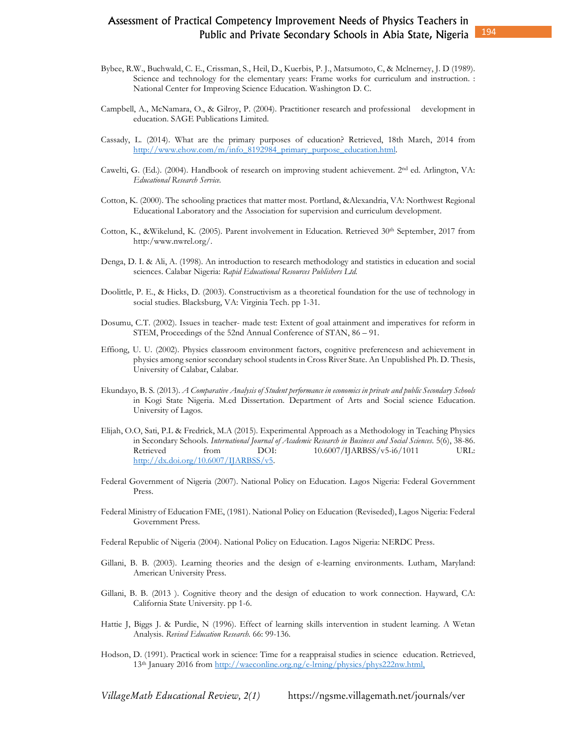- Bybee, R.W., Buchwald, C. E., Crissman, S., Heil, D., Kuerbis, P. J., Matsumoto, C, & Mclnerney, J. D (1989). Science and technology for the elementary years: Frame works for curriculum and instruction. : National Center for Improving Science Education. Washington D. C.
- Campbell, A., McNamara, O., & Gilroy, P. (2004). Practitioner research and professional development in education. SAGE Publications Limited.
- Cassady, L. (2014). What are the primary purposes of education? Retrieved, 18th March, 2014 from http://www.ehow.com/m/info\_8192984\_primary\_purpose\_education.html.
- Cawelti, G. (Ed.). (2004). Handbook of research on improving student achievement. 2nd ed. Arlington, VA: *Educational Research Service.*
- Cotton, K. (2000). The schooling practices that matter most. Portland, &Alexandria, VA: Northwest Regional Educational Laboratory and the Association for supervision and curriculum development.
- Cotton, K., &Wikelund, K. (2005). Parent involvement in Education. Retrieved 30<sup>th</sup> September, 2017 from http:/www.nwrel.org/.
- Denga, D. I. & Ali, A. (1998). An introduction to research methodology and statistics in education and social sciences. Calabar Nigeria: *Rapid Educational Resources Publishers Ltd.*
- Doolittle, P. E., & Hicks, D. (2003). Constructivism as a theoretical foundation for the use of technology in social studies. Blacksburg, VA: Virginia Tech. pp 1-31.
- Dosumu, C.T. (2002). Issues in teacher- made test: Extent of goal attainment and imperatives for reform in STEM, Proceedings of the 52nd Annual Conference of STAN, 86 – 91.
- Effiong, U. U. (2002). Physics classroom environment factors, cognitive preferencesn and achievement in physics among senior secondary school students in Cross River State. An Unpublished Ph. D. Thesis, University of Calabar, Calabar.
- Ekundayo, B. S. (2013). *A Comparative Analysis of Student performance in economics in private and public Secondary Schools* in Kogi State Nigeria. M.ed Dissertation. Department of Arts and Social science Education. University of Lagos.
- Elijah, O.O, Sati, P.L & Fredrick, M.A (2015). Experimental Approach as a Methodology in Teaching Physics in Secondary Schools. *International Journal of Academic Research in Business and Social Sciences*. 5(6), 38-86. Retrieved from DOI:  $10.6007/IJARBSS/v5-i6/1011$  URL: http://dx.doi.org/10.6007/IJARBSS/v5.
- Federal Government of Nigeria (2007). National Policy on Education. Lagos Nigeria: Federal Government Press.
- Federal Ministry of Education FME, (1981). National Policy on Education (Reviseded), Lagos Nigeria: Federal Government Press.
- Federal Republic of Nigeria (2004). National Policy on Education. Lagos Nigeria: NERDC Press.
- Gillani, B. B. (2003). Learning theories and the design of e-learning environments. Lutham, Maryland: American University Press.
- Gillani, B. B. (2013 ). Cognitive theory and the design of education to work connection. Hayward, CA: California State University. pp 1-6.
- Hattie J, Biggs J. & Purdie, N (1996). Effect of learning skills intervention in student learning. A Wetan Analysis. *Revised Education Research.* 66: 99-136.
- Hodson, D. (1991). Practical work in science: Time for a reappraisal studies in science education. Retrieved, 13th January 2016 from http://waeconline.org.ng/e-lrning/physics/phys222nw.html,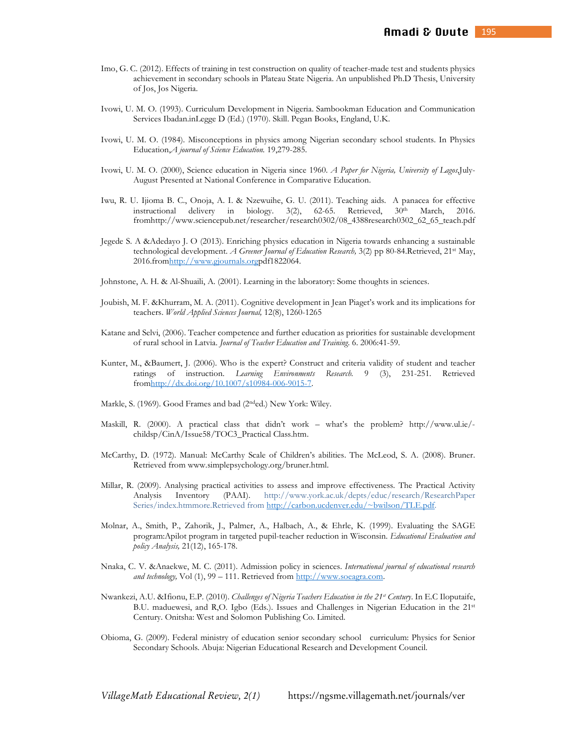- Imo, G. C. (2012). Effects of training in test construction on quality of teacher-made test and students physics achievement in secondary schools in Plateau State Nigeria. An unpublished Ph.D Thesis, University of Jos, Jos Nigeria.
- Ivowi, U. M. O. (1993). Curriculum Development in Nigeria. Sambookman Education and Communication Services Ibadan.inLegge D (Ed.) (1970). Skill. Pegan Books, England, U.K.
- Ivowi, U. M. O. (1984). Misconceptions in physics among Nigerian secondary school students. In Physics Education,*A journal of Science Education.* 19,279-285.
- Ivowi, U. M. O. (2000), Science education in Nigeria since 1960. *A Paper for Nigeria, University of Lagos*,July-August Presented at National Conference in Comparative Education.
- Iwu, R. U. Ijioma B. C., Onoja, A. I. & Nzewuihe, G. U. (2011). Teaching aids. A panacea for effective instructional delivery in biology. 3(2), 62-65. Retrieved, 30<sup>th</sup> March, 2016. fromhttp://www.sciencepub.net/researcher/research0302/08\_4388research0302\_62\_65\_teach.pdf
- Jegede S. A &Adedayo J. O (2013). Enriching physics education in Nigeria towards enhancing a sustainable technological development. *A Greener Journal of Education Research,* 3(2) pp 80-84.Retrieved, 21st May, 2016.fromhttp://www.gjournals.orgpdf1822064.
- Johnstone, A. H. & Al-Shuaili, A. (2001). Learning in the laboratory: Some thoughts in sciences.
- Joubish, M. F. &Khurram, M. A. (2011). Cognitive development in Jean Piaget's work and its implications for teachers. *World Applied Sciences Journal,* 12(8), 1260-1265
- Katane and Selvi, (2006). Teacher competence and further education as priorities for sustainable development of rural school in Latvia. *Journal of Teacher Education and Training*. 6. 2006:41-59.
- Kunter, M., &Baumert, J. (2006). Who is the expert? Construct and criteria validity of student and teacher ratings of instruction. *Learning Environments Research.* 9 (3), 231-251. Retrieved fromhttp://dx.doi.org/10.1007/s10984-006-9015-7.
- Markle, S. (1969). Good Frames and bad (2nded.) New York: Wiley.
- Maskill, R. (2000). A practical class that didn't work what's the problem? http://www.ul.ie/ childsp/CinA/Issue58/TOC3\_Practical Class.htm.
- McCarthy, D. (1972). Manual: McCarthy Scale of Children's abilities. The McLeod, S. A. (2008). Bruner. Retrieved from www.simplepsychology.org/bruner.html.
- Millar, R. (2009). Analysing practical activities to assess and improve effectiveness. The Practical Activity Analysis Inventory (PAAI). http://www.york.ac.uk/depts/educ/research/ResearchPaper Series/index.htmmore.Retrieved from http://carbon.ucdenver.edu/~bwilson/TLE.pdf.
- Molnar, A., Smith, P., Zahorik, J., Palmer, A., Halbach, A., & Ehrle, K. (1999). Evaluating the SAGE program:Apilot program in targeted pupil-teacher reduction in Wisconsin. *Educational Evaluation and policy Analysis,* 21(12), 165-178.
- Nnaka, C. V. &Anaekwe, M. C. (2011). Admission policy in sciences. *International journal of educational research and technology,* Vol (1), 99 – 111. Retrieved from http://www.soeagra.com.
- Nwankezi, A.U. &Ifionu, E.P. (2010). *Challenges of Nigeria Teachers Education in the 21st Century*. In E.C Iloputaife, B.U. maduewesi, and R,O. Igbo (Eds.). Issues and Challenges in Nigerian Education in the 21st Century. Onitsha: West and Solomon Publishing Co. Limited.
- Obioma, G. (2009). Federal ministry of education senior secondary school curriculum: Physics for Senior Secondary Schools. Abuja: Nigerian Educational Research and Development Council.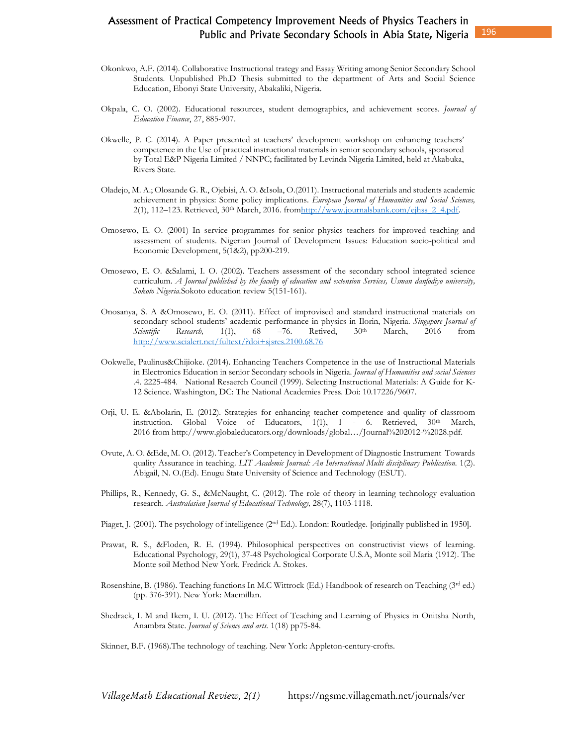- Okonkwo, A.F. (2014). Collaborative Instructional trategy and Essay Writing among Senior Secondary School Students. Unpublished Ph.D Thesis submitted to the department of Arts and Social Science Education, Ebonyi State University, Abakaliki, Nigeria.
- Okpala, C. O. (2002). Educational resources, student demographics, and achievement scores. *Journal of Education Finance*, 27, 885-907.
- Okwelle, P. C. (2014). A Paper presented at teachers' development workshop on enhancing teachers' competence in the Use of practical instructional materials in senior secondary schools, sponsored by Total E&P Nigeria Limited / NNPC; facilitated by Levinda Nigeria Limited, held at Akabuka, Rivers State.
- Oladejo, M. A.; Olosande G. R., Ojebisi, A. O. &Isola, O.(2011). Instructional materials and students academic achievement in physics: Some policy implications. *European Journal of Humanities and Social Sciences,* 2(1), 112–123. Retrieved, 30<sup>th</sup> March, 2016. fromhttp://www.journalsbank.com/ejhss\_2\_4.pdf.
- Omosewo, E. O. (2001) In service programmes for senior physics teachers for improved teaching and assessment of students. Nigerian Journal of Development Issues: Education socio-political and Economic Development, 5(1&2), pp200-219.
- Omosewo, E. O. &Salami, I. O. (2002). Teachers assessment of the secondary school integrated science curriculum. *A Journal published by the faculty of education and extension Services, Usman danfodiyo university, Sokoto Nigeria.*Sokoto education review 5(151-161).
- Onosanya, S. A &Omosewo, E. O. (2011). Effect of improvised and standard instructional materials on secondary school students' academic performance in physics in Ilorin, Nigeria. *Singapore Journal of Scientific* Research, 1(1), 68 -76. Retived, 30<sup>th</sup> March, 2016 from Scientific Research, 1(1), 68 – 76. Retived, 30<sup>th</sup> March, 2016 from http://www.scialert.net/fultext/?doi+sjsres.2100.68.76
- Ookwelle, Paulinus&Chijioke. (2014). Enhancing Teachers Competence in the use of Instructional Materials in Electronics Education in senior Secondary schools in Nigeria. *Journal of Humanities and social Sciences*  .4. 2225-484. National Resaerch Council (1999). Selecting Instructional Materials: A Guide for K-12 Science. Washington, DC: The National Academies Press. Doi: 10.17226/9607.
- Orji, U. E. &Abolarin, E. (2012). Strategies for enhancing teacher competence and quality of classroom instruction. Global Voice of Educators, 1(1), 1 - 6. Retrieved, 30<sup>th</sup> March, 2016 from http://www.globaleducators.org/downloads/global…/Journal%202012-%2028.pdf.
- Ovute, A. O. &Ede, M. O. (2012). Teacher's Competency in Development of Diagnostic Instrument Towards quality Assurance in teaching. *LIT Academic Journal: An International Multi disciplinary Publication.* 1(2). Abigail, N. O.(Ed). Enugu State University of Science and Technology (ESUT).
- Phillips, R., Kennedy, G. S., &McNaught, C. (2012). The role of theory in learning technology evaluation research. *Australasian Journal of Educational Technology,* 28(7), 1103-1118.
- Piaget, J. (2001). The psychology of intelligence (2<sup>nd</sup> Ed.). London: Routledge. [originally published in 1950].
- Prawat, R. S., &Floden, R. E. (1994). Philosophical perspectives on constructivist views of learning. Educational Psychology, 29(1), 37-48 Psychological Corporate U.S.A, Monte soil Maria (1912). The Monte soil Method New York. Fredrick A. Stokes.
- Rosenshine, B. (1986). Teaching functions In M.C Wittrock (Ed.) Handbook of research on Teaching (3rd ed.) (pp. 376-391). New York: Macmillan.
- Shedrack, I. M and Ikem, I. U. (2012). The Effect of Teaching and Learning of Physics in Onitsha North, Anambra State. *Journal of Science and arts.* 1(18) pp75-84.
- Skinner, B.F. (1968).The technology of teaching. New York: Appleton-century-crofts.